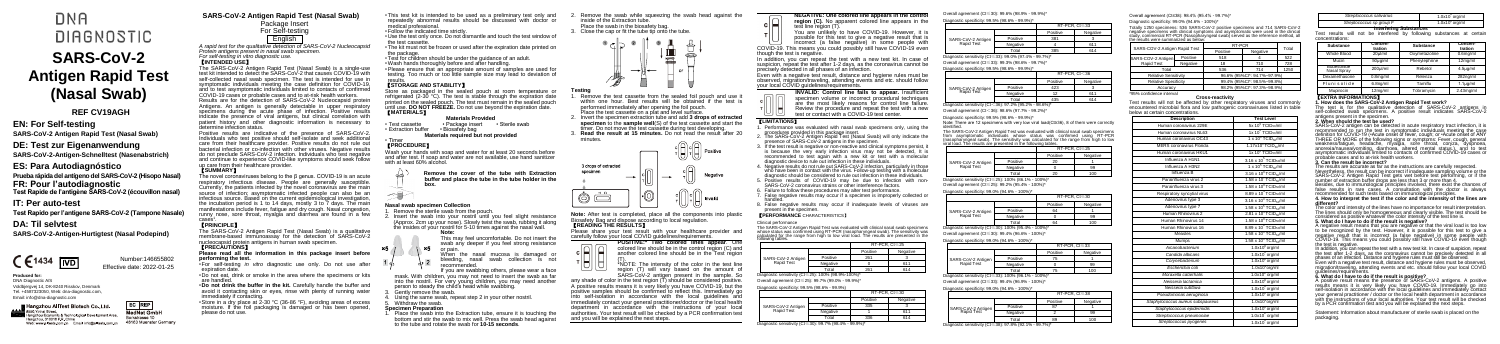# **DNA DIAGNOSTIC SARS-CoV-2 Antigen Rapid Test (Nasal Swab)**

# **EN: For Self-testing**

**SARS-CoV-2 Antigen Rapid Test (Nasal Swab)**

# **DE: Test zur Eigenanwendung**

**SARS-CoV-2-Antigen-Schnelltest (Nasenabstrich)**

# **ES: Para Autodiagnóstico Prueba rápida del antígeno del SARS-CoV-2 (Hisopo Nasal) FR: Pour l'autodiagnostic Test Rapide de l'antigène SARS-CoV-2 (écouvillon nasal)**

# **IT: Per auto-test**

**Test Rapido per l'antigene SARS-CoV-2 (Tampone Nasale)**

# **DA: Til selvtest**

A rapid test for the qualitative detection of SARS-CoV-2 Nucleocapsid *Protein antigens present in nasal swab specimen. For self-testing in vitro diagnostic use.* 

**SARS-CoV-2-Antigen-Hurtigtest (Nasal Podepind)**



# **Produced for:**

DNA Diagnostic A/S Voldbjergvej 14, DK-8240 Risskov, Denmark Tel. +4587323050, Web: dna-diagnostic.com, Email: info@dna-diagnostic.com

# Hangzhou AllTest Biotech Co.,Ltd.

EC REP **ISSO Yinhai Stree** MedNet Gmbl-Hangzhou Economic & Technological Development Area. Borkstrasse 10 Hangzhou, 310018 P.R. China 48163 Muenster Germany Web: www.alltests.com.cn Email: info@alltests.com.cn

**SARS-CoV-2 Antigen Rapid Test (Nasal Swab)** Package Insert

# For Self-testing English

# 【**INTENDED USE**】

The SARS-CoV-2 Antigen Rapid Test (Nasal Swab) is a single-use test kit intended to detect the SARS-CoV-2 that causes COVID-19 with self-collected nasal swab specimen. The test is intended for use in symptomatic individuals meeting the case definition for COVID-19, and to test asymptomatic individuals limited to contacts of confirmed COVID-19 cases or probable cases and to at-risk health workers. Results are for the detection of SARS-CoV-2 Nucleocapsid protein Antigens. An antigen is generally detectable in upper respiratory specimens during the acute phase of infection. Positive results indicate the presence of viral antigens, but clinical correlation with patient history and other diagnostic information is necessary to

expiration date •Do not eat, drink or smoke in the area where the specimens or kits

avoid it contacting skin or eyes, rinse with plenty of running water immediately if contacting.

determine infection status. Positive results are indicative of the presence of SARS-CoV-2. Individuals who test positive should self-isolate and seek additional care from their healthcare provider. Positive results do not rule out bacterial infection or co-infection with other viruses. Negative results do not preclude SARS-CoV-2 infection. Individuals who test negative and continue to experience COVID-like symptoms should seek follow up care from their healthcare provider.

# 【**SUMMARY**】

- Test cassette Package insert Sterile swab<br>• Extraction buffer Biosafety bag • Extraction buffer **Materials required but not provided**
	-

The novel coronaviruses belong to the β genus. COVID-19 is an acute respiratory infectious disease. People are generally susceptible. Currently, the patients infected by the novel coronavirus are the main source of infection; asymptomatic infected people can also be an infectious source. Based on the current epidemiological investigation, the incubation period is 1 to 14 days, mostly 3 to 7 days. The main manifestations include fever, fatigue and dry cough. Nasal congestion, runny nose, sore throat, myalgia and diarrhea are found in a few

# cases<sup>1</sup>.<br>【PRINCIPLE】

- . Remove the sterile swab from the pouch.
- . Insert the swab into your nostril until you feel slight resistance (Approx. 2cm up your nose). Slowly twist the swab, rubbing it along the insides of your nostril for 5-10 times against the nasal wall.

- When the nasal mucosa is damaged or
- bleeding, nasal swab collection is not recommended.

The SARS-CoV-2 Antigen Rapid Test (Nasal Swab) is a qualitative membrane-based immunoassay for the detection of SARS-CoV-2 nucleocapsid protein antigens in human swab specimen. 【**PRECAUTIONS**】

. Place the swab into the Extraction tube, ensure it is touching the bottom and stir the swab to mix well. Press the swab head against to the tube and rotate the swab for **10-15 seconds**.

**Please read all the information in this package insert before performing the test.** •For self-testing *in vitro* diagnostic use only. Do not use after Remove the swab while squeezing the swab head against the inside of the Extraction tube. Place the swab in the biosafety bag.

are handled. •**Do not drink the buffer in the kit.** Carefully handle the buffer and

•Store in a dry place at 2-30 °C (36-86 °F), avoiding areas of excess moisture. If the foil packaging is damaged or has been opened, please do not use.

- •This test kit is intended to be used as a preliminary test only and repeatedly abnormal results should be discussed with doctor or medical professional. •Follow the indicated time strictly.
- •Use the test only once. Do not dismantle and touch the test window of the test cassette.
- •The kit must not be frozen or used after the expiration date printed on the package
- •Test for children should be under the guidance of an adult.

•Wash hands thoroughly before and after handling.

incorrect (a false negative) in some people with COVID-19. This means you could possibly still have COVID-19 even though the test is negative.

•Please ensure that an appropriate amount of samples are used for testing. Too much or too little sample size may lead to deviation of results.

# 【**STORAGE AND STABILITY**】

Store as packaged in the sealed pouch at room temperature or refrigerated (2-30 °C). The test is stable through the expiration date printed on the sealed pouch. The test must remain in the sealed pouch until use. **DO NOT FREEZE.** Do not use beyond the expiration date. 【**MATERIALS**】

# **Materials Provided**

# • Timer 【**PROCEDURE**】

Wash your hands with soap and water for at least 20 seconds before and after test. If soap and water are not available, use hand sanitizer with at least 60% alcohol.

#### **Remove the cover of the tube with Extraction buffer and place the tube in the tube holder in the box.**

# **Nasal swab specimen Collection**

**Note:**  This may feel uncomfortable. Do not insert the swab any deeper if you feel strong resistance  $\times 5$ or pain.

If you are swabbing others, please wear a face mask. With children, you may not need to insert the swab as far into the nostril. For very young children, you may need another person to steady the child's head while swabbing.

- Gently remove the swab.
- Using the same swab, repeat step 2 in your other nostril Withdraw the swab.

### **Specimen Preparation**





- **Testing** Remove the test cassette from the sealed foil pouch and use within one hour. Best results will be obtained if the test is performed immediately after opening the foil pouch. Place the test cassette on a plat and level surface.
- 2. Invert the specimen extraction tube and add **3 drops of extracted specimen** to the **sample well**(S) of the test cassette and start the timer. Do not move the test cassette during test developing.
- 3. **Read the result at 15 minutes.** Do not read the result after 20 minutes.



**Note:** After test is completed, place all the components into plastic Biosafety Bag and dispose according to local regulation. 【**READING THE RESULTS**】

Please share your test result with your healthcare provider and

carefully follow your local COVID guidelines/requirements. **POSITIVE:\* Two colored lines appear**. One





(T). \*NOTE: The intensity of the color in the test line region (T) will vary based on the amount of SARS-CoV-2 antigen present in the sample. So

any shade of color in the test region (T) should be considered positive. A positive results means it is very likely you have COVID-19, but the positive samples should be confirmed to reflect this. Immediately go into self-isolation in accordance with the local guidelines and immediately contact your general practitioner/doctor or the local health department in accordance with the instructions of your local authorities. Your test result will be checked by a PCR confirmation test and you will be explained the next steps.

**NEGATIVE: One colored line appears in the control region (C).** No apparent colored line appears in the test line region (T).

You are unlikely to have COVID-19. However, it is possible for this test to give a negative result that is

In addition, you can repeat the test with a new test kit. In case of suspicion, repeat the test after 1-2 days, as the coronavirus cannot be precisely detected in all phases of an infection.

> Besides, due to immunological principles involved, there exist the chances of false results in rare cases. A consultation with the doctor is always recommended for such tests based on immunological principles.

Even with a negative test result, distance and hygiene rules must be observed, migration/traveling, attending events and etc. should follow your local COVID guidelines/requirements.

> The color and intensity of the lines have no importance for result interpretation The lines should only be homogeneous and clearly visible. The test should be considered as positive whatever the color intensity of the test line is.

**INVALID: Control line fails to appear.** Insufficient specimen volume or incorrect procedural techniques are the most likely reasons for control line failure. Review the procedure and repeat the test with a new test or contact with a COVID-19 test center.

> In addition, you can repeat the test with a new test kit. In case of suspicion, repeat the test after 1-2 days, as the coronavirus cannot be precisely detected in all phases of an infection. Distance and hygiene rules must still be observed.

# 【**LIMITATIONS**】

- 1. Performance was evaluated with nasal swab specimens only, using the procedures provided in this package insert.
- 2. The SARS-CoV-2 Antigen Rapid Test (Nasal Swab) will only indicate the presence of SARS-CoV-2 antigens in the specimen.
- 3. If the test result is negative or non-reactive and clinical symptoms persist, it is because the very early infection virus may not be detected, It is recommended to test again with a new kit or test with a molecular diagnostic device to rule out infection in these individuals.
- 4. Negative results do not rule out SARS-CoV-2 infection, particularly in those who have been in contact with the virus. Follow-up testing with a molecular diagnostic should be considered to rule out infection in these individuals.
- 5. Positive results of COVID-19 may be due to infection with non-SARS-CoV-2 coronavirus strains or other interference factors.
- 6. Failure to follow these procedures may alter test performance. 7. False negative results may occur if a specimen is improperly collected or
- handled. 8. False negative results may occur if inadequate levels of viruses are present in the specimen.

# 【**PERFORMANCE** CHARACTERISTICS】

# Clinical performance

The SARS-CoV-2 Antigen Rapid Test was evaluated with clinical nasal swab specimens whose status was confirmed using RT-PCR (nasopharyngeal swab). The sensitivity was calculated for the range from high to low viral load. The results are presented in the following tables.

| --------------                                                                                                                                           |          |          |               |  |
|----------------------------------------------------------------------------------------------------------------------------------------------------------|----------|----------|---------------|--|
|                                                                                                                                                          |          |          | RT-PCR. Ct≤25 |  |
|                                                                                                                                                          |          | Positive | Negative      |  |
| SARS-CoV-2 Antigen<br>Rapid Test                                                                                                                         | Positive | 261      |               |  |
|                                                                                                                                                          | Negative |          | 611           |  |
|                                                                                                                                                          | Total    | 261      | 614           |  |
| $\mathcal{L} = \{ \mathcal{L} \mid \mathcal{L} \in \mathcal{L} \}$ . The state of a state of the state of the state of $\mathcal{L} = \{ \mathcal{L} \}$ |          |          |               |  |

Diagnostic sensitivity (Ct≤25): 100% (98.9%-100%)\* Overall agreement (Ct≤25): 99.7% (99.0% - 99.9%)\*

|  | Diagnostic specificity: 99.5% (98.6% - 99.9%) |  |  |  |
|--|-----------------------------------------------|--|--|--|
|--|-----------------------------------------------|--|--|--|

|                    |          |          | RT-PCR. Ct≤30 |
|--------------------|----------|----------|---------------|
|                    |          | Positive | Negative      |
| SARS-CoV-2 Antigen | Positive | 335      |               |
| Rapid Test         | Negative |          | 611           |
|                    | Total    | 336      | 614           |

Total 89 100<br>Diagnostic sensitivity (Ct≤38): 97.8% (92.1% - 99.7%)\*

### Overall agreement (Ct≤30): 99.6% (98.9% - 99.9%)\*

#### Diagnostic specificity: 99.5% (98.6% - 99.9%)\*

|                                                        |          |          | RT-PCR, Ct≤33 |
|--------------------------------------------------------|----------|----------|---------------|
|                                                        |          | Positive | Negative      |
| SARS-CoV-2 Antigen                                     | Positive | 381      |               |
| Rapid Test                                             | Negative |          | 611           |
|                                                        | Total    | 385      | 614           |
| Diagnostic sensitivity (Ct≤33): 99.0% (97.4% - 99.7%)* |          |          |               |

Overall agreement (Ct≤33): 99.3% (98.6% - 99.7%)\*

Diagnostic specificity: 99.5% (98.6% - 99.9%)\*

|                                  |          |          | $RT-PCR$ . $Ct < 36$ |  |
|----------------------------------|----------|----------|----------------------|--|
|                                  |          | Positive | Negative             |  |
| SARS-CoV-2 Antigen<br>Rapid Test | Positive | 423      |                      |  |
|                                  | Negative | 12       | 611                  |  |
|                                  | Total    | 435      | 614                  |  |

Diagnostic sensitivity (Ct<36): 97.2% (95.2% - 98.6%)\*

Overall agreement (Ct<36): 98.6% (97.7% - 99.2%)\*

Diagnostic specificity: 99.5% (98.6% - 99.9%)\*

Note: There are 12 specimens with very low viral load(Ct≥36), 8 of them were correctly identified.

The SARS-CoV-2 Antigen Rapid Test was evaluated with clinical nasal swab specimens from asymptomatic individuals whose status was confirmed using RT-PCR (nasopharyngeal swab). The sensitivity was calculated for the range from high to low viral load. The results are presented in the following tables.

SARS-CoV-2 Antigen Rapid Test

|                                                       |          |          | $RT-PCR. Ct \leq 25$ |
|-------------------------------------------------------|----------|----------|----------------------|
|                                                       |          | Positive | Negative             |
| SARS-CoV-2 Antigen                                    | Positive | 20       |                      |
| Rapid Test                                            | Negative |          | 99                   |
|                                                       | Total    | 20       | 100                  |
| Diagnostic sensitivity (Ct ≤25): 100% (86.1% - 100%)* |          |          |                      |

Overall agreement (Ct≤25): 99.2% (95.4% - 100%)\*

Diagnostic specificity: 99.0% (94.6% - 100%)\*

|                                                      |          |          | RT-PCR, Ct≤30 |
|------------------------------------------------------|----------|----------|---------------|
|                                                      |          | Positive | Negative      |
| SARS-CoV-2 Antigen                                   | Positive | 64       |               |
| Rapid Test                                           | Negative |          | 99            |
|                                                      | Total    | 64       | 100           |
| Diagnostic sensitivity (Ct≤30): 100% (95.4% - 100%)* |          |          |               |

Overall agreement (Ct≤30): 99.4% (96.6% - 100%)\*

Diagnostic specificity: 99.0% (94.6% - 100%)\*

|                                                      |          |          | RT-PCR, Ct≤33 |
|------------------------------------------------------|----------|----------|---------------|
|                                                      |          | Positive | Negative      |
| SARS-CoV-2 Antigen                                   | Positive | 75       |               |
| Rapid Test                                           | Negative |          | 99            |
|                                                      | Total    |          | 100           |
| Diagnostic sensitivity (Ct≤33): 100% (96.1% - 100%)* |          |          |               |

Overall agreement (Ct≤33): 99.4% (96.9% - 100%)\*

Diagnostic specificity: 99.0% (94.6% - 100%)\*

|          | RT-PCR. Ct≤38 |          |  |
|----------|---------------|----------|--|
|          | Positive      | Negative |  |
| Positive |               |          |  |
| Negative |               | 98       |  |
| Total    | яs            | 100      |  |

#### Overall agreement (Ct≤38): 98.4% (95.4% - 99.7%)\*

Diagnostic specificity: 99.0% (94.6% - 100%)\*

Totally 1250 specimens: 536 SARS-CoV-2 positive specimens and 714 SARS-CoV-2 negative specimens with clinical symptoms and asymptomatic were used in the clinical study, commercial RT-PCR (Nasopharyngeal swab) served as the reference method, all the results were summarized as below:

| SARS-COV-2 Antigen Rapid Test |          | RT-PCR                      | Total                       |      |
|-------------------------------|----------|-----------------------------|-----------------------------|------|
|                               |          | Positive                    | Negative                    |      |
| SARS-COV-2 Antigen            | Positive | 518                         |                             | 522  |
| Rapid Test                    | Negative | 18                          | 710                         | 728  |
| Total                         |          | 536                         | 714                         | 1250 |
| <b>Relative Sensitivity</b>   |          | 96.6% (95%Cl*: 94.7%~97.9%) |                             |      |
| <b>Relative Specificity</b>   |          |                             | 99.4% (95%Cl*: 98.5%~99.8%) |      |
| Accuracy                      |          |                             | 98.2% (95%Cl*: 97.3%~98.9%) |      |
| *95% confidence interval      |          |                             |                             |      |

#### Cross-reactivit

Test results will not be affected by other respiratory viruses and commonly encountered microbial flora and low pathogenic coronaviruses listed in table below at certain concentrations.

| <b>Description</b>                | <b>Test Level</b>                             |
|-----------------------------------|-----------------------------------------------|
| Human coronavirus 229E            | 5x 10 <sup>5</sup> TCID <sub>50</sub> /ml     |
| Human coronavirus NL63            | 1x 10 <sup>6</sup> TCID <sub>50</sub> /ml     |
| Human coronavirus OC43            | 1 x 10 <sup>6</sup> TCIDs/ml                  |
| MERS coronavirus Florida          | 1.17x10 <sup>4</sup> TCID <sub>50</sub> /ml   |
| Human coronavirus HKU1            | 1x 10° TCID <sub>50</sub> /ml                 |
| Influenza A H1N1                  | 3.16 x 10 <sup>5</sup> TCID <sub>50</sub> /ml |
| Influenza A H3N2                  | 1 x 10 <sup>5</sup> TCIDs/ml                  |
| Influenza B                       | 3.16 x 10 <sup>6</sup> TCID <sub>50</sub> /ml |
| Parainfluenza virus 2             | 1.58 x 10 <sup>7</sup> TCID <sub>50</sub> /ml |
| Parainfluenza virus 3             | 1.58 x 10 <sup>8</sup> TCIDso/ml              |
| Respiratory syncytial virus       | 8.89 x 10 <sup>4</sup> TCID <sub>50</sub> /ml |
| Adenovirus type 3                 | 3.16 x 10 <sup>4</sup> TCID <sub>50</sub> /ml |
| Adenovirus type 7                 | $1.58 \times 10^5$ TCID <sub>50</sub> /ml     |
| Human Rhinovirus 2                | 2.81 x 10 <sup>4</sup> TCID <sub>50</sub> /ml |
| Human Rhinovirus 14               | 1.58 x 10 <sup>6</sup> TCIDso/ml              |
| Human Rhinovirus 16               | $8.89 \times 10^6$ TCID <sub>so</sub> /ml     |
| Measles                           | 1.58 x 10 <sup>4</sup> TCIDso/ml              |
| Mumps                             | $1.58 \times 10^4$ TCID <sub>so</sub> /ml     |
| Arcanobacterium                   | $1.0x108$ or a/ml                             |
| Candida albicans                  | $1.0x108$ or a/ml                             |
| Corvnebacterium                   | $1.0x108$ or g/ml                             |
| Escherichia coli                  | $1.0x108$ org/ml                              |
| Moraxella catarrhalis             | $1.0x108$ org/ml                              |
| Neisseria lactamica               | $1.0x108$ org/ml                              |
| Nejsseria subflava                | $1.0x108$ or g/ml                             |
| Pseudomonas aeruginosa            | $1.0x108$ org/ml                              |
| Staphylococcus aureus subspaureus | $1.0x108$ org/ml                              |
| Staphylococcus epidermidis        | $1.0x108$ or g/ml                             |
| Streptococcus pneumoniae          | $1.0x108$ org/ml                              |
| Streptococcus pyogenes            | $1.0x108$ or a/ml                             |

| Streptococcus salivarius | $1.0x108$ or a/ml |
|--------------------------|-------------------|
| Streptococcus sp group F | $1.0x108$ or a/ml |

#### **Interfering Substances**

Test results will not be interfered by following substances at certain concentrations:

| Substance                 | Concen-<br>tration | Substance     | Concen-<br>tration |
|---------------------------|--------------------|---------------|--------------------|
| Whole Blood               | 20ul/ml            | Oxymetazoline | 0.6 <sub>m</sub>   |
| Mucin                     | 50ug/ml            | Phenylephrine | 12mg/ml            |
| Budesonide<br>Nasal Sprav | 200ul/ml           | Rebetol       | 4.5ua/ml           |
| Dexamethasone             | $0.8$ ma/ml        | Relenza       | 282ng/ml           |
| Flunisolide               | 6.8ng/ml           | Tamiflu       | $1.1u$ a/ml        |
| Mupirocin                 | 12mg/ml            | Tobramycin    | $2.43$ ma/ml       |

### 【**EXTRA INFORMATIONS**】

**1. How does the SARS-CoV-2 Antigen Rapid Test work?**  The test is for the qualitative detection of SARS-CoV-2 antigens in self-collected swab specimens. A positive result indicates SARS-CoV-2 antigens present in the specimen.

### **2. When should the test be used?**

SARS-CoV-2 antigen can be detected in acute respiratory tract infection, it is recommended to run the test in symptomatic individuals meeting the case definition for COVID-19 (•Acute onset of fever, cough; or •Acute onset of ANY THREE OR MORE of the following signs or symptoms: Fever, cough, general weakness/fatigue, headache, myalgia, sore throat, coryza, dyspnoea, anorexia/nausea/vomiting, diarrhoea, altered mental status.), and to test<br>asymptomatic individuals limited to contacts of confirmed COVID-19 cases or probable cases and to at-risk health workers.

#### **3. Can the result be incorrect?**

The results are accurate as far as the instructions are carefully respected.

Nevertheless, the result can be incorrect if inadequate sampling volume or the SARS-CoV-2 Antigen Rapid Test gets wet before test performing, or if the number of extraction buffer drops are less than 3 or more than 4.

#### **4. How to interpret the test if the color and the intensity of the lines are different?**

#### **5. What do I have to do if the result is negative?**

A negative result means that you are negative or that the viral load is too low to be recognized by the test. However, it is possible for this test to give a negative result that is incorrect (a false negative) in some people with<br>COVID-19. This means you could possibly still have COVID-19 even though the test is negative.

Even with a negative test result, distance and hygiene rules must be observed, migration/traveling, attending events and etc. should follow your local COVID guidelines/requirements.

#### **6. What do I have to do if the result is positive?**

A positive result means the presence of SARS-CoV-2 antigens. A positive results means it is very likely you have COVID-19. Immediately go into self-isolation in accordance with the local guidelines and immediately contact your general practitioner / doctor or the local health department in accordance<br>with the instructions of your local authorities. Your test result will be checked by a PCR confirmation test and you will be explained the next steps.

Statement: Information about manufacturer of sterile swab is placed on the packaging.

# **REF CV19AGH**

Number:146655802 Effective date: 2022-01-25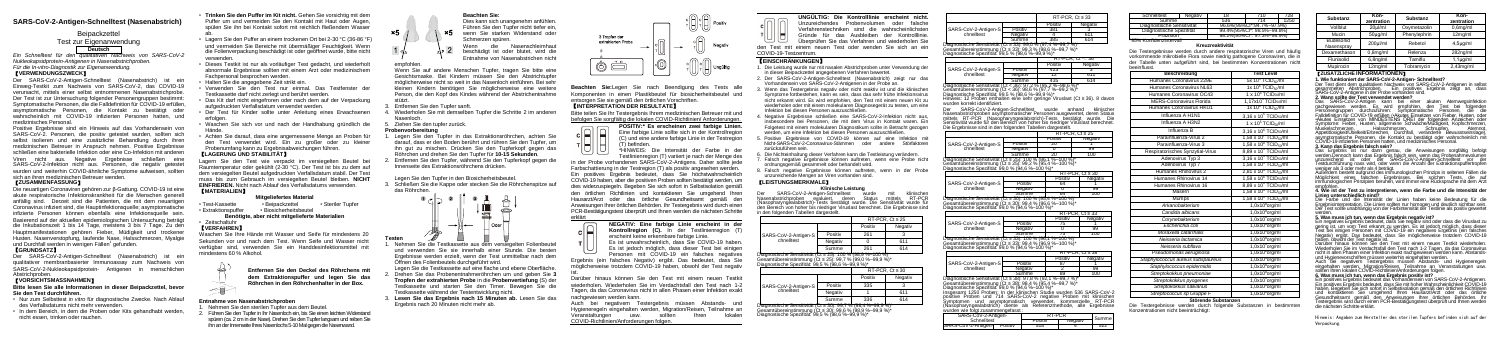# **SARS-CoV-2-Antigen-Schnelltest (Nasenabstrich)**

# **Beinackzettel**

# Test zur Eigenanwendung **Deutsch**

*Ein Schnelltest für den qualitativen Nachweis von SARS-CoV-2 Nukleokapsidprotein-Antigenen in Nasenabstrichproben. Für die In-vitro-Diagnostik zur Eigenanwendung.* 

# 【**VERWENDUNGSZWECK**】

Der SARS-CoV-2-Antigen-Schnelltest (Nasenabstrich) ist ein Einweg-Testkit zum Nachweis von SARS-CoV-2, das COVID-19 verursacht, mittels einer selbst entnommenen Nasenabstrichprobe. Der Test ist zur Untersuchung folgender Personengruppen bestimmt: Symptomatische Personen, die die Falldefinition für COVID-19 erfüllen. asymptomatische Personen, die Kontakt zu bestätigt oder wahrscheinlich mit COVID-19 infizierten Personen hatten, und medizinisches Personal.

Die neuartigen Coronaviren gehören zur β-Gattung. COVID-19 ist eine akute respiratorische Infektionskrankheit für die Menschen genere anfällig sind. Derzeit sind die Patienten, die mit dem neuartigen Coronavirus infiziert sind, die Hauptinfektionsquelle; asymptomatische infizierte Personen können ebenfalls eine Infektionsquelle sein. Basierend auf der aktuellen epidemiologischen Untersuchung beträgt die Inkubationszeit 1 bis 14 Tage, meistens 3 bis 7 Tage. Zu den Hauptmanifestationen gehören Fieber, Müdigkeit und trockener Husten. Nasenverstopfung, laufende Nase, Halsschmerzen, Myalgie und Durchfall werden in wenigen Fällen<sup>1</sup> gefunden.

Der SARS-CoV-2-Antigen-Schnelltest (Nasenabstrich) ist ein qualitativer membranbasierter Immunoassay zum Nachweis von SARS-CoV-2-Nukleokapsidprotein- Antigenen in menschlichen Abstrichproben.

Positive Ergebnisse sind ein Hinweis auf das Vorhandensein von SARS-CoV-2. Personen, die positiv getestet wurden, sollten sich selbst isolieren und eine zusätzliche Behandlung durch ihren medizinischen Betreuer in Anspruch nehmen. Positive Ergebnisse schließen eine bakterielle Infektion oder eine Co-Infektion mit anderen Viren nicht aus. Negative Ergebnisse schließen eine SARS-CoV-2-Infektion nicht aus. Personen, die negativ getestet wurden und weiterhin COVID-ähnliche Symptome aufweisen, sollten sich an ihren medizinischen Betreuer wenden. 【**ZUSAMMENFASSUNG**】

# 【**GRUNDSATZ**】

# 【**VORSICHTSMASSNAHMEN**】

### **Bitte lesen Sie alle Informationen in dieser Beipackzettel, bevor Sie den Test durchführen.**

- Nur zum Selbsttest *in vitro* für diagnostische Zwecke. Nach Ablauf des Verfallsdatums nicht mehr verwenden.
- In dem Bereich, in dem die Proben oder Kits gehandhabt werden, nicht essen, trinken oder rauchen.

• **Trinken Sie den Puffer im Kit nicht.** Gehen Sie vorsichtig mit dem Puffer um und vermeiden Sie den Kontakt mit Haut oder Augen, spülen Sie ihn bei Kontakt sofort mit reichlich fließendem Wasser

> Nehmen Sie die Testkassette aus dem versiegelten Folienbeute und verwenden Sie sie innerhalb einer Stunde. Die besten Ergebnisse werden erzielt, wenn der Test unmittelbar nach dem Öffnen des Folienbeutels durchgeführt wird.

- ab. Lagern Sie den Puffer an einem trockenen Ort bei 2-30 °C (36-86 °F) und vermeiden Sie Bereiche mit übermäßiger Feuchtigkeit. Wenn die Folienverpackung beschädigt ist oder geöffnet wurde, bitte nicht verwenden.
- Dieses Testkit ist nur als vorläufiger Test gedacht, und wiederholt abnormale Ergebnisse sollten mit einem Arzt oder medizinischem Fachpersonal besprochen werden.
- Halten Sie die angegebene Zeit strikt ein.
- Verwenden Sie den Test nur einmal. Das Testfenster der Testkassette darf nicht zerlegt und berührt werden.
- Das Kit darf nicht eingefroren oder nach dem auf der Verpackung aufgedruckten Verfallsdatum verwendet werden.
- Der Test für Kinder sollte unter Anleitung eines Erwachsenen erfolgen.
- Waschen Sie sich vor und nach der Handhabung gründlich die Hände.
- Achten Sie darauf, dass eine angemessene Menge an Proben für den Test verwendet wird. Ein zu großer oder zu kleiner Probenumfang kann zu Ergebnisabweichungen führen. 【**LAGERUNG UND STABILITÄT**】

 $|U| |U|$ \*HINWEIS: Die Intensität der Farbe in der Testlinienregion (T) variiert je nach der Menge des

Lagern Sie den Test wie verpackt im versiegelten Beutel bei Raumtemperatur oder gekühlt (2-30 °C). Der Test ist bis zu dem auf dem versiegelten Beutel aufgedruckten Verfallsdatum stabil. Der Test muss bis zum Gebrauch im versiegelten Beutel bleiben. **NICHT EINFRIEREN.** Nicht nach Ablauf des Verfallsdatums verwenden. 【**MATERIALIEN**】

**Mitgeliefertes Material**<br>• Beinackzettel • Steriler Tunfer • Test-Kassette • Beipackzettel<br>• Extraktionspuffer • Biosicherheitsbeu • Biosicherheitsbeutel

**Benötigte, aber nicht mitgelieferte Materialien**

#### • Zeitschaltuhr 【**VERFAHREN**】

ist.<br>Darüber hinaus können Sie den Test mit einem neuen Testkit wiederholen. Wiederholen Sie im Verdachtsfall den Test nach 1-2 Tagen, da das Coronavirus nicht in allen Phasen einer Infektion exakt nachgewiesen werden kann.

Waschen Sie Ihre Hände mit Wasser und Seife für mindestens 20 Sekunden vor und nach dem Test. Wenn Seife und Wasser nicht verfügbar sind, verwenden Sie ein Handdesinfektionsmittel mit mindestens 60 % Alkohol.

> **Entfernen Sie den Deckel des Röhrchens mit dem Extraktionspuffer und legen Sie das Röhrchen in den Röhrchenhalter in der Box.**

# **Entnahme von Nasenabstrichproben**

- 1. Nehmen Sie den sterilen Tupfer aus dem Beutel. 2. Führen Sie den Tupfer in Ihr Nasenloch ein, bis Sie einen leichten Widerstand
- spüren (ca. 2 cm in der Nase). Drehen Sie den Tupfer langsam und reiben Sie ihn an der Innenseite Ihres Nasenlochs 5-10 Mal gegen die Nasenwand.



Dies kann sich unangenehm anfühlen. Führen Sie den Tupfer nicht tiefer ein, . ×5. wenn Sie starken Widerstand oder Schmerzen spüren.<br>Wenn die Wenn die Nasenschleimhaut beschädigt ist oder blutet, wird die Entnahme von Nasenabstrichen nicht

empfohlen.

**x5** 

Wenn Sie auf andere Menschen Tupfer, tragen Sie bitte eine Gesichtsmaske. Bei Kindern müssen Sie den Abstrichtupfer möglicherweise nicht so weit in das Nasenloch einführen. Bei sehr kleinen Kindern benötigen Sie möglicherweise eine weitere Person, die den Kopf des Kindes während der Abstrichentnahme stützt.

> SARS-CoV-2-Antigen-Schnelltest wurde mit klinischen Nasenabstrichproben evaluiert, deren Status mittels RT-PCR (Nasopharyngealabstrich)-Tests bestätigt wurde. Die Sensitivität wurde für den Bereich von hoher bis niedriger Viruslast berechnet. Die Ergebnisse sind in den folgenden Tabellen dargestellt.

- 3. Entfernen Sie den Tupfer sanft.
- 4. Wiederholen Sie mit demselben Tupfer die Schritte 2 im anderen Nasenloch.
- 5. Ziehen Sie den tupfer zurück.

# **Probenvorbereitung**

ARS-CoV-2-Antige chnelltest

and the control of the control of SARS-CoV-2-Antic

Summe 385 614 Diagnostische Sensitivität (Ct ≤ 33): 99,0 % (97,4 %–99,7 %)\* Gesamtübereinstimmung (Ct ≤ 33): 99,3 % (98,6 %–99,7 %)\* iagnostische Spezifität: 99,5 % (98,6 %–99,9 %)\*

- 1. Legen Sie den Tupfer in das Extraktionsröhrchen, achten Sie darauf, dass er den Boden berührt und rühren Sie den Tupfer, um ihn gut zu mischen. Drücken Sie den Tupferkopf gegen das Röhrchen und drehen Sie den Tupfer für **10-15 Sekunden**.
- 2. Entfernen Sie den Tupfer, während Sie den Tupferkopf gegen die Innenseite des Extraktionsröhrchens drücken.

Gesamtübereinstimmung (Ct < 36): 98,6 % (97,7 %–99,2 %)\* Diagnostische Spezifität: 99,5 % (98,6 %–99,9 %)\* Hinweis: 12 Proben enthalten eine sehr geringe Viruslast (Ct ≥ 36). 8 davon wurden korrekt identifiziert. SARS-CoV-2-Antigen-Schnelltest wurde anhand klinischer

# Legen Sie den Tupfer in den Biosicherheitsbeutel.

3. Schließen Sie die Kappe oder stecken Sie die Röhrchenspitze auf das Röhrchen.



**Testen**

ARS-CoV-2-Antic chnelltest

anostische Sensi amtübereinstimm agnostische Spezif

SARS-CoV-2-Antichnelltest

Legen Sie die Testkassette auf eine flache und ebene Oberfläche.

SARS-CoV-2-Antio chnelltest

posamtaboromoannin<br>Diagnostische Spezifi

SARS-CoV-2-Antio

- 2. Drehen Sie das Probenentnahmeröhrchen um und geben Sie **3 Tropfen der extrahierten Probe** in die **Probenvertiefung** (S) der Testkassette und starten Sie den Timer. Bewegen Sie die Testkassette während der Testentwicklung nicht.
- 3. **Lesen Sie das Ergebnis nach 15 Minuten ab.** Lesen Sie das Ergebnis nach 20 Minuten nicht mehr ab.



**Beachten Sie:**Legen Sie nach Beendigung des Tests alle Komponenten in einen Plastikbeutel für biosicherheitsbeutel und entsorgen Sie sie gemäß den örtlichen Vorschriften.

> SARS-CoV-2-Antigen-Schnelltest SARS-CoV-2-Antige

# 【**INTERPRETATION DER RESULTATE**】

Bitte teilen Sie Ihr Testergebnis Ihrem medizinischen Betreuer mit und befolgen Sie sorgfältig die lokalen COVID-Richtlinien/ Anforderungen.

**POSITIV:\* Es erscheinen zwei farbige Linien.** Eine farbige Linie sollte sich in der Kontrollregion (C) und eine andere farbige Linie in der Testregion (T) befinden.

in der Probe vorhandenen SARS-CoV-2-Antigens. Daher sollte jede Farbschattierung in der Testregion (T) als positiv angesehen werden. Ein positives Ergebnis bedeutet, dass Sie höchstwahrscheinlich COVID-19 haben, aber die positiven Proben sollten bestätigt werden, um dies widerzuspiegeln. Begeben Sie sich sofort in Selbstisolation gemäß den örtlichen Richtlinien und kontaktieren Sie umgehend Ihren Hausarzt/Arzt oder das örtliche Gesundheitsamt gemäß den Anweisungen Ihrer örtlichen Behörden. Ihr Testergebnis wird durch einen PCR-Bestätigungstest überprüft und Ihnen werden die nächsten Schritte erklärt



erscheint keine erkennbare farbige Linie. Es ist unwahrscheinlich, dass Sie COVID-19 haben.

لبازالياء

Es ist jedoch möglich, dass dieser Test bei einiger Personen mit COVID-19 ein falsches negatives

Ergebnis (ein falsches Negativ) ergibt. Das bedeutet, dass Sie möglicherweise trotzdem COVID-19 haben, obwohl der Test negativ

Das Ergebnis ist nur dann genau, die Anweisungen sorgfältig befolgt werden.Dennoch kann das Ergebnis falsch sein, wenn das Probenahmevolumen unzureichend ist oder der SARS-CoV-2-Antigen-Schnelltest vor der Testdurchführung nass wird, oder wenn die Anzahl der Extraktionspuffertropfen weniger als 3 oder mehr als 4 beträgt.

Außerdem besteht aufgrund des immunologischen Prinzips in seltenen Fällen die<br>Möglichkeit eines falschen Ergebnisses. Bei solchen Tests, die auf<br>immunologischen Prinzipien beruhen, wird immer eine Rücksprache mit dem Arzt

Auch bei negativem Testergebnis müssen Abstands- und Hygieneregeln eingehalten werden, Migration/Reisen, Teilnahme an Veranstaltungen usw. sollten Ihren lokalen COVID-Richtlinien/Anforderungen folgen.

**UNGÜLTIG: Die Kontrolllinie erscheint nicht.** Unzureichendes Probenvolumen oder falsche Verfahrenstechniken sind die wahrscheinlichsten Gründe für das Ausbleiben der Kontrolllinie. Überprüfen Sie das Verfahren und wiederholen Sie

den Test mit einem neuen Test oder wenden Sie sich an ein COVID-19-Testzentrum.

# 【**EINSCHRÄNKUNGEN**】

- 1. Die Leistung wurde nur mit nasalen Abstrichproben unter Verwendung der in dieser Beipackzettel angegebenen Verfahren bewertet.
- 2. Der SARS-CoV-2-Antigen-Schnelltest (Nasenabstrich) zeigt nur das Vorhandensein von SARS-CoV-2-Antigenen in der Probe an.
- 3. Wenn das Testergebnis negativ oder nicht reaktiv ist und die klinischen Symptome fortbestehen, kann es sein, dass das sehr frühe Infektionsvirus nicht erkannt wird. Es wird empfohlen, den Test mit einem neuen Kit zu wiederholen oder mit einem molekularen Diagnosegerät zu testen, um eine Infektion bei diesen Personen auszuschließen.
- 4. Negative Ergebnisse schließen eine SARS-CoV-2-Infektion nicht aus, insbesondere bei Personen, die mit dem Virus in Kontakt waren. Ein Folgetest mit einem molekularen Diagnostikum sollte in Betracht gezogen werden, um eine Infektion bei diesen Personen auszuschließen.
- 5. Positive Ergebnisse von COVID-19 können auf eine Infektion mit Nicht-SARS-CoV-2-Coronavirus-Stämmen oder andere Störfaktoren zurückzuführen sein.
- 6. Die Nichteinhaltung dieser Verfahren kann die Testleistung verändern. Falsch negative Ergebnisse können auftreten, wenn eine Probe nicht
- ordnungsgemäß gesammelt oder behandelt wird. 8. Falsch negative Ergebnisse können auftreten, wenn in der Probe
- unzureichende Mengen an Viren vorhanden sind.

#### 【**LEISTUNGSMERKMALE**】 **Klinische Leistung**

|                                                                                                                                                                             |         | RT-PCR. $Ct \leq 25$ |         |  |  |  |
|-----------------------------------------------------------------------------------------------------------------------------------------------------------------------------|---------|----------------------|---------|--|--|--|
| SARS-CoV-2-Antigen-S<br>chnelltest                                                                                                                                          |         | Positiv              | Negativ |  |  |  |
|                                                                                                                                                                             | Positiv | 261                  |         |  |  |  |
|                                                                                                                                                                             | Negativ |                      | 611     |  |  |  |
|                                                                                                                                                                             | Summe   | 261                  | 614     |  |  |  |
| Diagnostische Sensitivität (Ct ≤ 25): 100 % (98,9 %–100 %)<br>Gesamtübereinstimmung (Ct ≤ 25)′ 99,7 % (99,0 %–99,9 %)*<br>Diagnostische Spezifität: 99,5 % (98,6 %–99,9 %)* |         |                      |         |  |  |  |

|                                 | RT-PCR, $Ct \leq 30$ |         |
|---------------------------------|----------------------|---------|
|                                 | Positiv              | Negativ |
| Positiv<br>SARS-CoV-2-Antigen-S | 335                  |         |
| Negativ                         |                      | 611     |
| Summe                           | 336                  | 614     |
|                                 |                      |         |

Diagnostische Sensitivität (Ct ≤ 30): 99,7 % (98,4 %–99,9 %)\* Gesamtübereinstimmung (Ct ≤ 30): 99,6 % (98,9 %–99,9 %)\* Diagnostische Spezifität: 99,5 % (98,6 %–99,9 %)\*

|       |         | RT-PCR, $Ct \leq 33$ |         |  |
|-------|---------|----------------------|---------|--|
|       |         | Positiv              | Negativ |  |
| en-Si | Positiv | 381                  |         |  |
|       | Negativ |                      | 811     |  |
|       | Summe   |                      |         |  |

|       |         | $RT$ -PCR, $Ct < 36$ |         |  |
|-------|---------|----------------------|---------|--|
|       |         | Positiv              | Negativ |  |
| en-Si | Positiv |                      |         |  |
|       | Negativ |                      |         |  |
|       | Summe   |                      |         |  |

chnelltest Summe 435 614 Diagnostische Sensitivität (Ct < 36): 97,2 % (95,2 %–98,6 %)\*

> Nasenabstrichproben asymptomatischer Personen ausgewertet, deren Status mittels RT-PCR (Nasopharyngealabstrich)-Tests bestätigt wurde. Die Sensitivität wurde für den Bereich von hoher bis niedriger Viruslast berechnet. Die Ergebnisse sind in den folgenden Tabellen dargestellt.

|                                                                                                                   |         | $RT$ -PCR, Ct ≤ 25 |         |         |  |
|-------------------------------------------------------------------------------------------------------------------|---------|--------------------|---------|---------|--|
|                                                                                                                   |         | Positiv            |         | Negativ |  |
| ien-S                                                                                                             | Positiv | 20                 |         |         |  |
|                                                                                                                   | Negativ |                    |         | 99      |  |
|                                                                                                                   | Summe   | 20                 |         | 100     |  |
| ivität (Ct ≤ 25): 100 % (86,1 %–100 %)*<br>iung (Ct ≤ 25): 99,2 % (95,4 %–100 %)*<br>ität: 99,0 % (94,6 %–100 %)* |         |                    |         |         |  |
| $RT-PCR$ . Ct $\leq 30$                                                                                           |         |                    |         |         |  |
|                                                                                                                   |         |                    | Positiv | Negativ |  |
| ien-S                                                                                                             | Positiv |                    | 64      |         |  |

| <b>BUT C-HOUR-A-MILLENT COMPOSIT</b>                        | <b>FUNIU</b> | $\cdots$ |     |
|-------------------------------------------------------------|--------------|----------|-----|
| chnelltest                                                  | Negativ      |          | 99  |
|                                                             | Summe        | 64       | 100 |
| Diagnostische Sensitivität (Ct ≤ 30): 100 % (95.4 %–100 %)* |              |          |     |

Gesamtübereinstimmung (Ct ≤ 30): 99,4 % (96,6 %–100 %)\* Diagnostische Spezifität: 99,0 % (94,6 %–100 %)\*

|                                                             |         | RT-PCR, $Ct \leq 33$ |         |
|-------------------------------------------------------------|---------|----------------------|---------|
|                                                             |         | Positiv              | Negativ |
| SARS-CoV-2-Antigen-S                                        | Positiv |                      |         |
| chnelltest                                                  | Negativ |                      | 99      |
|                                                             | Summe   |                      | 100     |
| Diagnostische Sensitivität (Ct ≤ 33): 100 % (96,1 %–100 %)* |         |                      |         |

Gesamtübereinstimmung (Ct ≤ 33): 99,4 % (96,9 %–100 %)\*

| tat: 99.0 % (94.6 %–100 %)^ |                         |
|-----------------------------|-------------------------|
|                             | $RT-PCR$ . Ct $\leq 38$ |

|                                                               |         | Positiv | Negativ |
|---------------------------------------------------------------|---------|---------|---------|
| SARS-CoV-2-Antigen-S                                          | Positiv |         |         |
| chnelltest                                                    | Negativ |         | 99      |
|                                                               | Summe   |         | 100     |
| Diagnostische Sensitivität (Ct ≤ 38): 97,8 % (92,1 %–99,7 %)* |         |         |         |

Gesamtübereinstimmung (Ct ≤ 38): 98,4 % (95,4 %–99,7 %)\* Diagnostische Spezifität: 99,0 % (94,6 %–100 %)\* Insgesamt 1250 Proben: In der klinischen Studie wurden 536 SARS-CoV-2 positive Proben und 714 SARS-CoV-2 negative Proben mit klinischen Symptomen und asymptomatisch verwendet, kommerzielle RT-PCR (Nasopharyngealabstrich) diente als Referenzmethode, alle Ergebnisse wurden wie folgt zusammengefasst :

| Antigen-      | RT-PCR  | Summe   |  |
|---------------|---------|---------|--|
| est           | Positiv | Negativ |  |
| Positiv<br>n- | 518     |         |  |

| Schnelltest                | Negativ | 18  | 710                                     | 728  |
|----------------------------|---------|-----|-----------------------------------------|------|
| Summe                      |         | 536 | 714                                     | 1250 |
| Diagnostische Sensitivität |         |     | 96.6%(95%Cl*:94.7%~97.9%)               |      |
| Diagnostische Spezifität   |         |     | 99.4%(95%Cl <sup>*</sup> ; 98.5%~99.8%) |      |
| Präzision                  |         |     | 98.2%(95%Cl <sup>*</sup> ; 97.3%~98.9%) |      |
| *95% Konfidenzintervall    |         |     |                                         |      |

#### **Kreuzreaktivität**

Die Testergebnisse werden durch andere respiratorische Viren und häufig vorkommende mikrobielle Flora sowie niedrig pathogene Coronaviren, die in der Tabelle unten aufgeführt sind, bei bestimmten Konzentrationen nicht beeinflusst.

| <b>Beschreibung</b>               | <b>Test Level</b>                                               |
|-----------------------------------|-----------------------------------------------------------------|
| Humanes Coronavirus 229E          | 5x 10 <sup>b</sup> TCID <sub>50</sub> /ml                       |
| Humanes Coronavirus NL63          | 1x 10 <sup>6</sup> TCID <sub>50</sub> /ml                       |
| Humanes Coronavirus OC43          | 1 x 10 <sup>6</sup> TCID <sub>50</sub> /ml                      |
| <b>MERS-Coronavirus Florida</b>   | 1,17x10 $4$ TCID $_{50}$ /ml                                    |
| Humanes Coronavirus HKU1          | 1x 10 <sup>6</sup> TCID <sub>50</sub> /ml                       |
| Influenza A H1N1                  | $3.16 \times 10^5$ TCID <sub>50</sub> /ml                       |
| Influenza A H3N2                  | 1 x 10 <sup>5</sup> TCID <sub>50</sub> /ml                      |
| Influenza B                       | 3,16 x 10 <sup>6</sup> TCID <sub>50</sub> /ml                   |
| Parainfluenza-Virus 2             | 1,58 x 10 <sup><math>\prime</math></sup> TCID <sub>50</sub> /ml |
| Parainfluenza-Virus 3             | $1.58 \times 10^8$ TCID <sub>50</sub> /ml                       |
| Respiratorisches Synzytial-Virus  | $8.89 \times 10^4$ TCID <sub>50</sub> /ml                       |
| Adenovirus Typ 3                  | 3,16 x 10 <sup>4</sup> TCID <sub>50</sub> /ml                   |
| Adenovirus Typ 7                  | 1,58 x 10 <sup>6</sup> TCID <sub>50</sub> /ml                   |
| Humanes Rhinovirus 2              | 2.81 x 10 <sup>4</sup> TCID <sub>50</sub> /ml                   |
| Humanes Rhinovirus 14             | 1,58 x 10 $^6$ TCID <sub>50</sub> /ml                           |
| Humanes Rhinovirus 16             | 8,89 x 10 <sup>6</sup> TCID <sub>50</sub> /ml                   |
| Masern                            | 1,58 x 10 <sup>4</sup> TCID <sub>50</sub> /ml                   |
| Mumps                             | $1.58 \times 10^4$ TCIDso/ml                                    |
| Arkanobakterium                   | 1,0x10 <sup>8</sup> org/ml                                      |
| Candida albicans                  | 1,0x10 <sup>8</sup> org/ml                                      |
| Corynebakterium                   | 1,0x10 <sup>8</sup> org/ml                                      |
| Escherichia coli                  | 1,0x10 <sup>8</sup> org/ml                                      |
| Moraxella catarrhalis             | 1.0x10 <sup>8</sup> org/ml                                      |
| Neisseria lactamica               | 1,0x10 <sup>8</sup> org/ml                                      |
| Neisseria subflava                | 1,0x10 <sup>8</sup> org/ml                                      |
| Pseudomonas aeruginosa            | 1,0x10 <sup>8</sup> org/ml                                      |
| Staphylococcus aureus subspaureus | 1,0x10 <sup>8</sup> org/ml                                      |
| Staphylococcus epidermidis        | 1.0x10 <sup>8</sup> org/ml                                      |
| Streptokokkus pneumoniae          | 1,0x10 <sup>8</sup> org/ml                                      |
| Streptokokkus pyogenes            | 1.0x10 <sup>8</sup> org/ml                                      |
| Streptokokkus salivarius          | 1,0x10 <sup>8</sup> org/ml                                      |
| Streptococcus sp Gruppe F         | 1,0x10 <sup>8</sup> org/ml                                      |

#### **Störende Substanzen**

Die Testergebnisse werden durch folgende Substanzen in bestimmten Konzentrationen nicht beeinträchtigt:

| Substanz                | Kon-<br>zentration | <b>Substanz</b> | Kon-<br>zentration    |
|-------------------------|--------------------|-----------------|-----------------------|
| Vollblut                | 20ul/ml            | Oxymetazolin    | 0.6 <sub>mq</sub> /ml |
| Mucin                   | $50\mu q/ml$       | Phenylephrin    | 12mg/ml               |
| Budesonid<br>Nasenspray | 200ul/ml           | Rebetol         | $4.5\mu$ g/ml         |
| Dexamethason            | $0,8$ mg/ml        | Relenza         | 282ng/ml              |
| Flunisolid              | $6.8ng$ /ml        | Tamiflu         | $1.1\mu$ g/ml         |
| Mupirocin               | 12mg/ml            | Tobramvcin      | $2,43$ mg/ml          |

# 【**ZUSÄTZLICHE INFORMATIONEN**】

**1. Wie funktioniert der SARS-CoV-2-Antigen- Schnelltest?**  Der Test dient dem qualitativen Nachweis von SARS-CoV-2-Antigenen in selbst gesammelten Abstrichproben. Ein positives Ergebnis zeigt an, dass SARS-CoV-2-Antigene in der Probe vorhanden sind. **2. Wann sollte der Test verwendet werden?** 

Das SARS-CoV-2-Antigen kann bei einer akuten Atemwegsinfektion<br>nachgewiesen werden. Es wird empfohlen, den Test bei folgenden<br>Personengruppen durchzuführen: Symptomatische Personen, die die Falldefinition für COVID-19 erfüllen (•Akútes Einsetzen von Fieber, Husten, oder<br>•Akutes Einsetzen von MINDESTENS DREI der folgenden Anzeichen oder<br>Symptome: Fieber, Husten, allgemeine Schwäche/Müdigkeit, Kopfschmerzen, Muskelschmerzen, Halsschmerzen, Schnupfen, Atemnot, Appetitlosigkeit/Übelkeit/Erbrechen, Durchfall, veränderte Bewusstseinslage), asymptomätische Personen, die Kontakt zu bestätigt oder wahrscheinlich mit<br>COVID-19 infizierten Personen hatten, und medizinisches Personal.<br>**3. Kann das Ergebnis falsch sein?** 

### empfohlen. **4. Wie ist der Test zu interpretieren, wenn die Farbe und die Intensität der Linien unterschiedlich sind?**

Die Farbe und die Intensität der Linien haben keine Bedeutung für die Ergebnisinterpretation. Die Linien sollten nur homogen und deutlich sichtbar sein. Der Test sollte unabhängig von der Farbintensität der Testlinie als positiv gewertet

# werden. **5. Was muss ich tun, wenn das Ergebnis negativ ist?**

Ein negatives Ergebnis bedeutet, dass Sie negativ sind oder dass die Viruslast zu gering ist, um vom Test erkannt zu werden. Es ist jedoch möglich, dass dieser<br>Test bei einigen Personen mit COVID-19 ein negatives Ergebnis (ein falsches Negativ) ergibt. Das bedeutet, dass Sie möglicherweise trotzdem COVID-19 haben, obwohl der Test negativ ist.

Darüber hinaus können Sie den Test mit einem neuen Testkit wiederholen. Wiederholen Sie im Verdachtsfall den Test nach 1-2 Tagen, da das Coronavirus nicht in allen Phasen einer Infektion exakt nachgewiesen werden kann. Abstandsund Hygienevorschriften müssen weiterhin eingehalten werden.

and rygionoroioannommassen weiterministigenenen merden.<br>Auch bei negativem Testergebnis müssen Abstands- und Hygieneregeli eingehalten werden, Migration/Reisen, Teilnahme an Veranstaltungen usw.<br>sollten Ihren lokalen COVID-Richtlinien/Anforderungen folgen.

# **6. Was muss ich tun, wenn das Ergebnis positiv ist?**

Ein positives Ergebnis bedeutet das Vorhandensein von SARS-CoV-2-Antigenen. Ein positives Ergebnis bedeutet, dass Sie mit hoher Wahrscheinlichkeit COVID-19 haben. Begeben Sie sich sofort in Selbstisolation gemäß den örtlichen Richtlinien und kontaktieren Sie umgehend Ihren Hausarzt/Arzt oder das örtliche Gesundheitsamt gemäß den Anweisungen Ihrer örtlichen Behörden. Ihr Testergebnis wird durch einen PCR-Bestätigungstest überprüft und Ihnen werden die nächsten Schritte erklärt.

Hinweis: Angaben zum Hersteller des sterilen Tupfers befinden sich auf der Verpackung.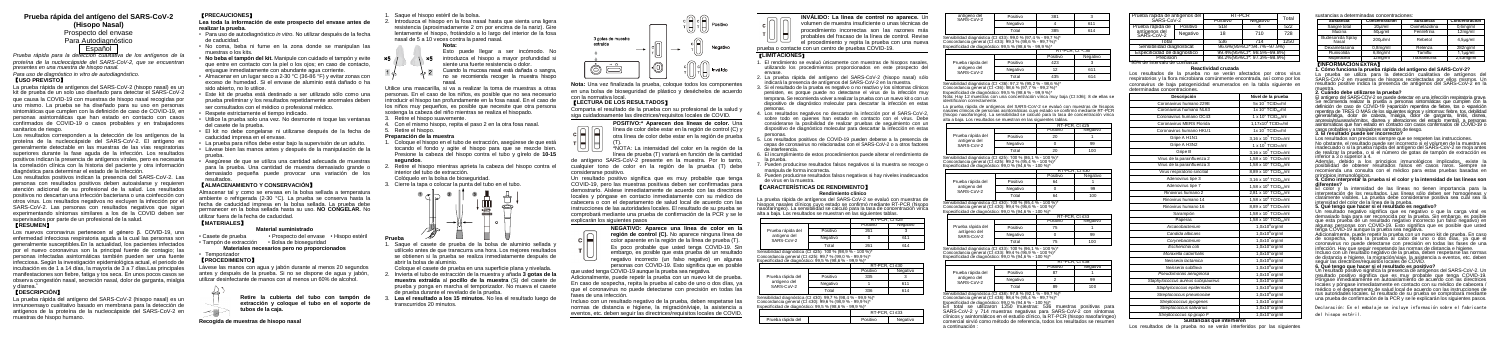# **Prueba rápida del antígeno del SARS-CoV-2 (Hisopo Nasal)**

# Prospecto del envase Para Autodiagnóstico **Español**

*Prueba rápida para la detección cualitativa de los antígenos de la proteína de la nucleocápside del SARS-CoV-2, que se encuentran presentes en una muestra de hisopo nasal.*

# *Para uso de diagnóstico in vitro de autodiagnóstico.*

# 【**USO PREVISTO**】

La prueba rápida de antígenos del SARS-CoV-2 (hisopo nasal) es un kit de prueba de un solo uso diseñado para detectar el SARS-CoV-2 que causa la COVID-19 con muestras de hisopo nasal recogidas por uno mismo. La prueba se ha diseñado para su uso en personas sintomáticas que cumplen con la definición de caso de COVID-19, en personas asintomáticas que han estado en contacto con casos confirmados de COVID-19 o casos probables y en trabajadores sanitarios de riesgo.

Los resultados corresponden a la detección de los antígenos de la proteína de la nucleocápside del SARS-CoV-2. El antígeno es generalmente detectable en las muestras de las vías respiratorias superiores durante la fase aguda de la infección. Los resultados positivos indican la presencia de antígenos virales, pero es necesaria la correlación clínica con la historia del paciente y otra información diagnóstica para determinar el estado de la infección.

Los resultados positivos indican la presencia del SARS-CoV-2. Las personas con resultados positivos deben autoaislarse y requieren atención adicional de su profesional de la salud. Los resultados positivos no descartan una infección bacteriana o una coinfección con otros virus. Los resultados negativos no excluyen la infección por el SARS-CoV-2. Las personas con resultados negativos que sigan experimentando síntomas similares a los de la COVID deben ser supervisados por parte de un profesional de la salud.

# 【**RESUMEN**】

Los nuevos coronavirus pertenecen al género β. COVID-19, una enfermedad infecciosa respiratoria aguda a la cual las personas son generalmente susceptibles.En la actualidad, los pacientes infectados por el nuevo coronavirus son la principal fuente de contagio; las personas infectadas asintomáticas también pueden ser una fuente infecciosa. Según la investigación epidemiológica actual, el periodo de incubación es de 1 a 14 días. La mayoría de  $\tilde{3}$  a 7 días.Las principales manifestaciones son fiebre, fatiga y tos seca. En unos pocos casos se observa congestión nasal, secreción nasal, dolor de garganta, mialgia y diarrea.<sup>1</sup>

# 【**DESCRIPCIÓN**】

La prueba rápida del antígeno del SARS-CoV-2 (hisopo nasal) es un inmunoensayo cualitativo basado en membrana para la detección de antígenos de la proteína de la nucleocápside del SARS-CoV-2 en muestras de hisopo humano.

# 【**PRECAUCIONES**】

- Saque el hisopo estéril de la bolsa.
- 2. Introduzca el hisopo en la fosa nasal hasta que sienta una ligera resistencia (aproximadamente 2 cm por encima de la nariz). Gire lentamente el hisopo, frotándolo a lo largo del interior de la fosa nasal de 5 a 10 veces contra la pared nasal.
	- **Nota:**
	- Esto puede llegar a ser incómodo. No x5 introduzca el hisopo a mayor profundidad si
	- siente una fuerte resistencia o dolor. Cuando la mucosa nasal está dañada o sangra,
	- no se recomienda recoger la muestra hisopo

# **Lea toda la información de este prospecto del envase antes de realizar la prueba.**

- Para uso de autodiagnóstico *in vitro*. No utilizar después de la fecha de caducidad.
- No coma, beba ni fume en la zona donde se manipulan las muestras o los kits.
- **No beba el tampón del kit.** Manipule con cuidado el tampón y evite que entre en contacto con la piel o los ojos; en caso de contacto, enjuague inmediatamente con abundante agua corriente.
- Almacenar en un lugar seco a 2-30 °C (36-86 °F) y evitar zonas con exceso de humedad. Si el envase de aluminio está dañado o ha sido abierto, no lo utilice.
- Este kit de prueba está destinado a ser utilizado sólo como una prueba preliminar y los resultados repetidamente anormales deben ser consultados con el médico o profesional médico.
- Respete estrictamente el tiempo indicado.
- Utilice la prueba solo una vez. No desmonte ni toque las ventanas del casete de la prueba.
- El kit no debe congelarse ni utilizarse después de la fecha de caducidad impresa en el envase.
- La prueba para niños debe estar bajo la supervisión de un adulto.
- Lávese bien las manos antes y después de la manipulación de la prueba.
- Asegúrese de que se utiliza una cantidad adecuada de muestras para la prueba. Una cantidad de muestra demasiado grande o demasiado pequeña puede provocar una variación de los resultados.

**Nota:** Una vez finalizada la prueba, cologue todos los componente en una bolsa de bioseguridad de plástico y deséchelos de acuerdo con la normativa local.

# 【**ALMACENAMIENTO Y CONSERVACIÓN**】

Almacenar tal y como se envasa en la bolsa sellada a temperatura ambiente o refrigerada (2-30 °C). La prueba se conserva hasta la fecha de caducidad impresa en la bolsa sellada. La prueba debe permanecer en la bolsa sellada hasta su uso. **NO CONGELAR.** No utilizar fuera de la fecha de caducidad.

# 【**MATERIALES**】

### **Material suministrado**

que usted tenga COVID-19 aunque la prueba sea negativa. Adicionalmente, puede repetir la prueba con un nuevo kit de prueba. En caso de sospecha, repita la prueba al cabo de uno o dos días, ya que el coronavirus no puede detectarse con precisión en todas las fases de una infección.

• Casete de prueba • Prospecto del envase • Hisopo estéril • Tampón de extracción • Bolsa de bioseguridad

**Materiales necesarios pero no proporcionados**

• Temporizador

# 【**PROCEDIMIENTO**】

Lávese las manos con agua y jabón durante al menos 20 segundos antes y después de la prueba. Si no se dispone de agua y jabón, utilizar desinfectante de manos con al menos un 60% de alcohol.

- **Retire la cubierta del tubo con tampón de extracción y coloque el tubo en el soporte de tubos de la caja.**
- **Recogida de muestras de hisopo nasal**

### nasal.

Sensibilidad diagnóstica (Ct ≤25): 100 % (98,9 % - 100 %)\* Concordancia general (Ct ≤25): 99,7 % (99,0 % - 99,9 %)\*  $E$ onosificidad de diagnóstico: 99,5 % (98,6 % - 99,9 %)

Utilice una mascarilla, si va a realizar la toma de muestras a otras personas. En el caso de los niños, es posible que no sea necesario introducir el hisopo tan profundamente en la fosa nasal. En el caso de los niños muy pequeños, es posible que necesite que otra persona sostenga la cabeza del niño mientras se realiza el hisopado.

> Sensibilidad diagnóstica (Ct ≤30): 99,7 % (98,4 % - 99,9 %)\* Concordancia general (Ct ≤30): 99,6 % (98,9 % - 99,9 %)\*  $\text{Example 1:}$  expectively de diagnóstico:  $90.5$  %  $(98,68)$   $(99,90)$

- 3. Retire el hisopo suavemente.
- 4. Con el mismo hisopo, repita el paso 2 en la otra fosa nasal. 5. Retire el hisopo.

# **Preparación de la muestra**

1. Coloque el hisopo en el tubo de extracción, asegúrese de que está tocando el fondo y agite el hisopo para que se mezcle bien. Presione la cabeza del hisopo contra el tubo y gírelo de **10-15** 

# **segundos**.

- 2. Retire el hisopo mientras aprieta la cabeza del hisopo contra el interior del tubo de extracción. Colóquelo en la bolsa de bioseguridad.
- 3. Cierre la tapa o colocar la punta del tubo en el tubo.



**Prueba**

1. Saque el casete de prueba de la bolsa de aluminio sellada y utilícelo antes de que transcurra una hora. Los mejores resultados se obtienen si la prueba se realiza inmediatamente después de abrir la bolsa de aluminio.

the control of the control of Prueba rápida del antígeno del SARS-CoV-2

Coloque el casete de prueba en una superficie plana y nivelada.

- 2. Invierta el tubo de extracción de la muestra y añada **3 gotas de la muestra extraída** al **pocillo de la muestra** (S) del casete de prueba y ponga en marcha el temporizador. No mueva el casete de prueba durante el revelado de la prueba.
- 3. **Lea el resultado a los 15 minutos.** No lea el resultado luego de transcurridos 20 minutos.



Concordancia general (Ct ≤38): 98,4 % (95,4 % - 99,7 %)\* Especificidad de diagnóstico: 99,0 % (94,6 % - 100 %)\* En total se utilizaron 1250 muestras: 536 muestras positivas para SARS-CoV-2 y 714 muestras negativas para SARS-CoV-2 con síntomas clínicos y asintomáticos en el estudio clínico, la RT-PCR (hisopo nasofaríngeo) comercial sirvió como método de referencia, todos los resultados se resumen a continuación :

# 【**LECTURA DE LOS RESULTADOS**】

Comparta el resultado de la prueba con su profesional de la salud y siga cuidadosamente las directrices/requisitos locales de COVID.

> **POSITIVO:\* Aparecen dos líneas de color.** Una línea de color debe estar en la región de control (C) y otra línea de color debe estar en la región de prueba

(T). \*NOTA: La intensidad del color en la región de la línea de prueba (T) variará en función de la cantidad

de antígeno SARS-CoV-2 presente en la muestra. Por lo tanto, cualquier tono de color en la región de la prueba (T) debe considerarse positivo.

Un resultado positivo significa que es muy probable que tenga COVID-19, pero las muestras positivas deben ser confirmadas para demostrarlo. Aíslese inmediatamente de acuerdo con las directrices locales y póngase en contacto inmediatamente con su médico de cabecera o con el departamento de salud local de acuerdo con las instrucciones de las autoridades locales. El resultado de su prueba se comprobará mediante una prueba de confirmación de la PCR y se le explicarán los siguientes pasos

∵I⊫⊟



color aparente en la región de la línea de prueba (T). Es poco probable que usted tenga COVID-19. Sin embargo, es posible que esta prueba dé un resultado negativo incorrecto (un falso negativo) en algunas personas con COVID-19. Esto significa que es posible

a prueba se utiliza para la detección cualitativa de antígenos de SARS-CoV-2 en muestras de hisopos recolectadas por ellos mismos. Un resultado positive indica la presencia de antígenos del SARS-CoV-2 en la

Incluso con un resultado negativo de la prueba, deben respetarse las normas de distancia e higiene, la migración/viaje, la asistencia a eventos, etc. deben seguir las directrices/requisitos locales de COVID.

**INVÁLIDO: La línea de control no aparece.** Un volumen de muestra insuficiente o unas técnicas de

# procedimiento incorrectas son las razones más probables del fracaso de la línea de control. Revise el procedimiento y repita la prueba con una nueva prueba o contacte con un centro de pruebas COVID-19.

【**LIMITACIONES**】

1. El rendimiento se evaluó únicamente con muestras de hisopos nasales, utilizando los procedimientos proporcionados en este prospecto del

- envase. 2. La prueba rápida del antígeno del SARS-CoV-2 (hisopo nasal) sólo indicará la presencia de antígenos del SARS-CoV-2 en la muestra.
- 3. Si el resultado de la prueba es negativo o no reactivo y los síntomas clínicos persisten, es porque puede no detectarse el virus de la infección muy temprana. Se recomienda volver a realizar la prueba con un nuevo kit o con un dispositivo de diagnóstico molecular para descartar la infección en estas personas.
- 4. Los resultados negativos no descartan la infección por el SARS-CoV-2, sobre todo en quienes han estado en contacto con el virus. Debe considerarse la posibilidad de realizar pruebas de seguimiento con un dispositivo de diagnóstico molecular para descartar la infección en estas personas.
- 5. Los resultados positivos de COVID-19 pueden deberse a la presencia de cepas de coronavirus no relacionadas con el SARS-CoV-2 o a otros factores de interferencia.
- 6. El incumplimiento de estos procedimientos puede alterar el rendimiento de la prueba.
- 7. Pueden producirse resultados falsos negativos si la muestra se recoge o manipula de forma incorrecta.
- 8. Pueden producirse resultados falsos negativos si hay niveles inadecuados de virus en la muestra.

# 【**CARACTERÍSTICAS DE RENDIMIENTO**】 **Rendimiento clínico**

La prueba rápida de antígenos del SARS-CoV-2 se evaluó con muestras de hisopos nasales clínicos cuyo estado se confirmó mediante RT-PCR (hisopo nasofaríngeo). La sensibilidad se calculó para la tasa de concentración vírica alta a baja. Los resultados se muestran en las siguientes tablas.

|                            |          | RT-PCR. Ct ≤25 |          |
|----------------------------|----------|----------------|----------|
|                            |          | Positivo       | Negativo |
| Prueba rápida del          | Positivo | 261            |          |
| antígeno del<br>SARS-CoV-2 | Negativo |                | 611      |
|                            | Total    | 261            | 614      |

|                            |          | RT-PCR, Ct ≤30 |          |
|----------------------------|----------|----------------|----------|
|                            |          | Positivo       | Negativo |
| Prueba rápida del          | Positivo | 335            |          |
| antígeno del<br>SARS-CoV-2 | Negativo |                | 611      |
|                            | Total    | 336            | 614      |

| 5011000000000100011050000.33.3 70130.0 70 - 33.3 701 | RT-PCR, Ct ≤33 |          |
|------------------------------------------------------|----------------|----------|
| Prueba rápida del                                    | Positivo       | Negativo |

antígeno del SARS-CoV-2

Sensibilidad diagnóstica cordancia general (C

| Positivo |  |
|----------|--|
| Negativo |  |
| htal     |  |

| Ct ≤33): 99.0 % (97.4 % - 99.7 %)*    |  |
|---------------------------------------|--|
| $\leq$ 33): 99.3 % (98.6 % - 99.7 %)* |  |
| $100 \times 90 = 96.00$ $(90.000)$    |  |

| ecificidad de diagnóstico: 99.5 % (98.6 % - 99.9 %)* |          | -----                |          |
|------------------------------------------------------|----------|----------------------|----------|
|                                                      |          | $RT-PCR$ . $Ct < 36$ |          |
|                                                      |          | Positivo             | Negativo |
| Prueba rápida del                                    | Positivo | 423                  |          |
| antígeno del<br>SARS-CoV-2                           | Negativo | 12                   | 611      |
|                                                      | Total    | 435                  | 614      |

specificidad de diagnós

Sensibilidad diagnóstica (Ct <36): 97,2 % (95,2 % - 98,6 %)\*

Concordancia general (Ct <36): 98,6 % (97,7 % - 99,2 %)\*

Especificidad de diagnóstico: 99,5 % (98,6 % - 99,9 %)\*

Nota: Hay 12 muestras con una concentración vírica muy baja (Ct ≥36); 8 de ellas se

identificaron correctamente.

La prueba rápida de antígenos del SARS-CoV-2 se evaluó con muestras de hisopos nasales clínicos de personas asintomáticas cuyo estado se confirmó mediante RT-PCR (hisopo nasofaríngeo). La sensibilidad se calculó para la tasa de concentración vírica alta a baja. Los resultados se muestran en las siguientes tablas.

Prueba rápida del antígeno del SARS-CoV-2

|                                                            |          | RT-PCR, Ct ≤25 |          |
|------------------------------------------------------------|----------|----------------|----------|
|                                                            |          | Positivo       | Negativo |
| Prueba rápida del                                          | Positivo | 20             |          |
| antígeno del<br>SARS-CoV-2                                 | Negativo |                | 99       |
|                                                            | Total    | 20             | 100      |
| lensihilidad diannóstica (Ct <25): 100 % (R6 1 % = 100 %)* |          |                |          |

Concordancia general (Ct ≤25): 99,2 % (95,4 % - 100 %)\*

| SUCU. 99.U 70 1 94.D 70 = 1 UU 70 1 |          |               |
|-------------------------------------|----------|---------------|
|                                     |          | RT-PCR. Ct≤30 |
|                                     | Positivo | Negativo      |
| Positivo                            | 64       |               |
| Negativo                            |          | 99            |
| Total                               | GЛ       |               |

Sensibilidad diagnóstica (Ct ≤30): 100 % (95,4 % - 100 %)\* Concordancia general (Ct ≤30): 99,4 % (96,6 % - 100 %)\* Especificidad de diagnóstico: 99,0 % (94,6 % - 100 %)\*

Prueba rápida del antígeno del

|              | २T-PCR. Ct ≤33       |     |
|--------------|----------------------|-----|
|              | Negativo<br>Positivo |     |
| Positivo     | 75                   |     |
| Negativo     |                      |     |
| <b>Fotal</b> | 75                   | 100 |

SARS-CoV-2 Concordancia general (Ct ≤33): 99,4 % (96,9 % - 100 %)\*

Sensibilidad diagnóstica (Ct ≤33): 100 % (96,1 % - 100 %)\*

Especificidad de diagnóstico: 99,0 % (94,6 % - 100 %)\*

Prueba rápida del antígeno del SARS-CoV-2

|          | RT-PCR. Ct≤38        |     |
|----------|----------------------|-----|
|          | Negativo<br>Positivo |     |
| Positivo | 87                   |     |
| Negativo |                      | дo  |
| Total    | 89                   | 100 |

Sensibilidad diagnóstica (Ct ≤38): 97,8 % (92,1 % - 99,7 %)\*

| Prueba rápida de antígenos del<br>SARS-CoV-2 |          | RT-PCR   |                            | Total |
|----------------------------------------------|----------|----------|----------------------------|-------|
|                                              |          | Positivo | Negativo                   |       |
| Prueba rápida de                             | Positivo | 518      |                            | 522   |
| antígenos del<br>SARS-CoV-2                  | Negativo | 18       | 710                        | 728   |
| Total                                        |          | 536      | 714                        | 1250  |
| Sensibilidad diagnósticat                    |          |          | 96.6%(95%Cl*:94.7%~97.9%)  |       |
| Especificidad de diagnóstico                 |          |          | 99.4%(95%Cl*: 98.5%~99.8%) |       |
| Precisión                                    |          |          | 98.2%(95%Cl*: 97.3%~98.9%) |       |
| *95% de intervalo de confianza               |          |          |                            |       |

**Reactividad cruzada**

Los resultados de la prueba no se verán afectados por otros virus respiratorios y la flora microbiana comúnmente encontrada, así como por los coronavirus de baja patogenicidad enumerados en la tabla siguiente en determinadas concentraciones.

| Descripción                       | Nivel de la prueba                            |
|-----------------------------------|-----------------------------------------------|
| Coronavirus humano 229E           | $5x 10^5$ TCID <sub>50</sub> /ml              |
| Coronavirus humano NL63           | 1x 10 <sup>6</sup> TCID <sub>50</sub> /ml     |
| Coronavirus humano OC43           | 1 x 10 <sup>6</sup> TCIDso/ml                 |
| Coronavirus MERS Florida          | 1,17x10 <sup>4</sup> TCID <sub>so</sub> /ml   |
| Coronavirus humano HKU1           | 1x 10° TCID <sub>50</sub> /ml                 |
| Gripe A H1N1                      | 3,16 x 10 <sup>5</sup> TCID <sub>50</sub> /ml |
| Gripe A H3N2                      | 1 x 10 <sup>5</sup> TCID <sub>50</sub> /ml    |
| Gripe B                           | 3,16 x 10 <sup>6</sup> TCID <sub>50</sub> /ml |
| Virus de la parainfluenza 2       | 1,58 x $10^7$ TCID <sub>sp</sub> /ml          |
| Virus de la parainfluenza 3       | $1,58 \times 10^8$ TCID <sub>50</sub> /ml     |
| Virus respiratorio sincitial      | 8,89 x 10 <sup>4</sup> TCID <sub>50</sub> /ml |
| Adenovirus tipe 3                 | 3,16 x 10 <sup>4</sup> TCID <sub>50</sub> /ml |
| Adenovirus tipe 7                 | 1,58 x $10^5$ TCID <sub>so</sub> /ml          |
| Rinovirus humano 2                | 2.81 x 10 <sup>4</sup> TCIDs/ml               |
| Rinovirus humano 14               | 1,58 x $10^6$ TCID <sub>so</sub> /ml          |
| Rinovirus humano 16               | 8,89 x 10 <sup>6</sup> TCID <sub>50</sub> /ml |
| Sarampión                         | 1,58 x $10^4$ TCID <sub>sp</sub> /ml          |
| Paperas                           | 1,58 x 10 <sup>4</sup> TCID <sub>50</sub> /ml |
| Arcanobacterium                   | $1,0x108$ org/ml                              |
| Candida albicans                  | $1.0x108$ or g/ml                             |
| Corvnebacterium                   | $1,0x108$ org/ml                              |
| Escherichia coli                  | $1,0x108$ org/ml                              |
| Moraxella catarrhalis             | $1,0x10^8$ org/ml                             |
| Neisseria lactamica               | $1,0x108$ org/ml                              |
| Neisseria subflava                | $1,0x10^8$ org/ml                             |
| Pseudomonas aeruginosa            | 1,0x10 <sup>8</sup> org/ml                    |
| Staphylococcus aureus subspaureus | $1,0x108$ org/ml                              |
| Staphylococcus epidermidis        | $1,0x108$ org/ml                              |
| Streptococcus pneumoniae          | $1,0x108$ org/ml                              |
| Streptococcus pyogenes            | $1,0x108$ org/ml                              |
| Streptococcus salivarius          | $1,0x108$ org/ml                              |
| Streptococcus sp grupo F          | $1,0x10^8$ org/ml                             |
|                                   |                                               |

#### **Sustancias que interfieren**

Los resultados de la prueba no se verán interferidos por las siguientes

sustancias a determinadas concentraciones:

| Concentración        | Sustancia     | Concentración    |
|----------------------|---------------|------------------|
| 20ul/ml              | Oximetazolina | 0.6 <sub>m</sub> |
| 50ug/ml              |               | 12mg/ml          |
| 200ul/ml             | Rebetol       | $4.5\muq/ml$     |
| 0.8 <sub>m</sub>     | Relenza       | 282na/ml         |
| 6.8ng/ml             | Tamiflu       | $1,1 \mu q/ml$   |
| 12 <sub>ma</sub> /ml | Tobramicina   | $2.43$ ma/ml     |
|                      |               | Fenilefrina      |

#### 【**INFORMACIÓN EXTRA**】

#### **1. Cómo funciona la prueba rápida del antígeno del SARS-CoV-2?**

# muestra. **2. Cuándo debe utilizarse la prueba?**

El antígeno del SARS-COV-2 se puede detectar en una infección respiratoria grave. Se recomienda realizar la prueba a personas sintomáticas que cumplen con la definición de caso de COVID-19 (•aparición repentina de fiebre, tos o •aparición repentina de TRES O MÁS de los siguientes signos y síntomas: fiebre, tos, debilidad general/fatiga, dolor de cabeza, mialgia, dolor de garganta, rinitis, disnea, anorexia/náuseas/vómitos, diarrea y alteraciones del estado mental), a personas asintomáticas que han estado en contacto con casos confirmados de COVID-19 o casos probables y a trabajadores sanitarios de riesgo. **3. El resultado puede ser incorrecto?** 

Los resultados son precisos siempre que se respeten las instrucciones.

No obstante, el resultado puede ser incorrecto si el volumen de la muestra es inadecuado o si la prueba rápida del antígeno del SARS-CoV-2 se moja antes de realizar la prueba, o si el número de gotas de tampón de extracción es inferior a 3 o superior a 4.

Además, debido a los principios inmunológicos implicados, existe la posibilidad de obtener resultados falsos en casos raros. Siempre se recomienda una consulta con el médico para estas pruebas basadas en principios inmunológicos.

#### **4. Cómo interpretar la prueba si el color y la intensidad de las líneas son diferentes?**

El color y la intensidad de las líneas no tienen importancia para la interpretación de los resultados. Las líneas sólo deben ser homogéneas claramente visibles. La prueba debe considerarse positiva sea cual sea la intensidad del color de la línea de la prueba.

#### **5. Qué tengo que hacer si el resultado es negativo?**

Un resultado negativo significa que es negativo o que la carga viral es demasiado baja para ser reconocida por la prueba. Sin embargo, es posible que esta prueba dé un resultado negativo incorrecto (un falso negativo) en algunas personas con COVID-19. Esto significa que es posible que usted tenga COVID-19 aunque la prueba sea negativa.

Adicionalmente, puede repetir la prueba con un nuevo kit de prueba. En caso de sospecha, repita la prueba al cabo de uno o dos días, ya que el coronavirus no puede detectarse con precisión en todas las fases de una infección. Hay que seguir respetando las normas de distancia e higiene.

Incluso con un resultado negativo de la prueba, deben respetarse las normas de distancia e higiene, la migración/viaje, la asistencia a eventos, etc. deben seguir las directrices/requisitos locales de COVID.

### **6. Qué tengo que hacer si el resultado es positivo?**

Un resultado positivo significa la presencia de antígenos del SARS-CoV-2. Un resultado positivo significa que es muy probable que tenga COVID-19. Póngase inmediatamente en autoaislamiento de acuerdo con las directrices locales y póngase inmediatamente en contacto con su médico de cabecera / médico o el departamento de salud local de acuerdo con las instrucciones de sus autoridades locales. El resultado de su prueba se comprobará mediante una prueba de confirmación de la PCR y se le explicarán los siguientes pasos.

Declaración: En el embalaje se incluye información sobre el fabricante del hisopo estéril.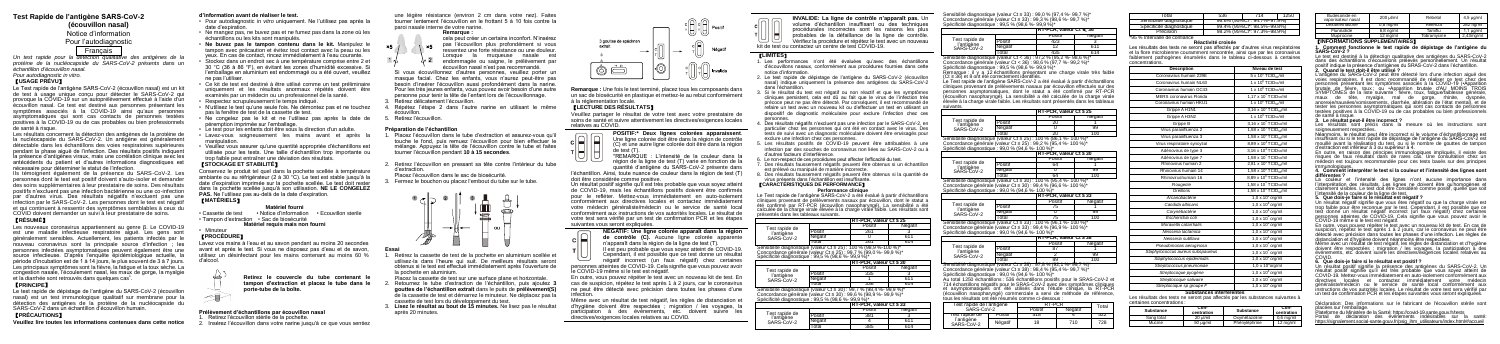# **Test Rapide de l'antigène SARS-CoV-2 (écouvillon nasal)**

Notice d'information Pour l'autodiagnostic Français

*Un test rapide pour la détection qualitative des antigènes de la protéine de la nucléocapside du SARS-CoV-2 présents dans un échantillon d'écouvillon nasal. Pour autodiagnostic in vitro.* 

### 【**USAGE PRÉVU**】

Le Test rapide de l'antigène SARS-CoV-2 (écouvillon nasal) est un kit de test à usage unique conçu pour détecter le SARS-CoV-2 qui provoque la COVID-19 sur un autoprélèvement effectué à l'aide d'un écouvillon nasal. Ce test est destiné aux personnes présentant les symptômes associés à la COVID-19 ainsi qu'aux personnes asymptomatiques qui sont cas contacts de personnes testées positives à la COVID-19 ou de cas probables ou bien professionnels de santé à risque.

Les nouveaux coronavirus appartiennent au genre β. Le COVID-19 est une maladie infectieuse respiratoire aiguë. Les gens sont généralement sensibles. Actuellement, les patients infectés par le nouveau coronavirus sont la principale source d'infection ; les personnes infectées asymptomatiques peuvent également être une source infectieuse. D'après l'enquête épidémiologique actuelle, la période d'incubation est de 1 à 14 jours, le plus souvent de 3 à 7 jours. Les principaux symptômes sont la fièvre, la fatigue et la toux sèche. La congestion nasale, l'écoulement nasal, les maux de gorge, la myalgie et la diarrhée sont retrouvés dans quelques cas<sup>1</sup>.

Les résultats concernent la détection des antigènes de la protéine de la nucléocapside du SARS-CoV-2. Un antigène est généralement détectable dans les échantillons des voies respiratoires supérieures pendant la phase aiguë de l'infection. Des résultats positifs indiquent la présence d'antigènes viraux, mais une corrélation clinique avec les antécédents du patient et d'autres informations diagnostiques est nécessaire pour déterminer le statut de l'infection.

Ils témoignent également de la présence du SARS-CoV-2. Les personnes dont le test est positif doivent s'auto-isoler et demander des soins supplémentaires à leur prestataire de soins. Des résultats positifs n'excluent pas une infection bactérienne ou une co-infection par d'autres virus. Des résultats négatifs n'excluent pas une infection par le SARS-CoV-2. Les personnes dont le test est négatif et qui continuent à ressentir des symptômes semblables à ceux du COVID doivent demander un suivi à leur prestataire de soins.

# 【**RÉSUMÉ**】

# 【**PRINCIPE**】

Le test rapide de dépistage de l'antigène du SARS-CoV-2 (écouvillon nasal) est un test immunologique qualitatif sur membrane pour la détection des antigènes de la protéine de la nucléocapside du SARS-CoV-2 dans un échantillon d'écouvillon humain.

# 【**PRÉCAUTIONS**】

**Veuillez lire toutes les informations contenues dans cette notice** 

#### **d'information avant de réaliser le test.**

- Pour autodiagnostic *in vitro* uniquement. Ne l'utilisez pas après la date d'expiration.
- Ne mangez pas, ne buvez pas et ne fumez pas dans la zone où les échantillons ou les kits sont manipulés.
- **Ne buvez pas le tampon contenu dans le kit.** Manipulez le tampon avec précaution et évitez tout contact avec la peau ou les yeux. En cas de contact, rincez immédiatement à l'eau courante. • Stockez dans un endroit sec à une température comprise entre 2 et 30 °C (36 à 86 °F), en évitant les zones d'humidité excessive. Si
- l'emballage en aluminium est endommagé ou a été ouvert, veuillez ne pas l'utiliser. • Ce kit de test est destiné à être utilisé comme un test préliminaire
- uniquement et les résultats anormaux répétés doivent être examinés par un médecin ou un professionnel de la santé.
- Respectez scrupuleusement le temps indiqué.
- N'utilisez le test qu'une seule fois. Ne démontez pas et ne touchez pas la fenêtre de test de la cassette de test.
- $\cdot$  Ne congelez pas le kit et ne l'utilisez pas après la date péremption imprimée sur l'emballage.
- Le test pour les enfants doit être sous la direction d'un adulte.
- Lavez-vous soigneusement les mains avant et après la manipulation.
- Veuillez vous assurer qu'une quantité appropriée d'échantillons est utilisée pour les tests. Une taille d'échantillon trop importante ou trop faible peut entraîner une déviation des résultats.

Placez la cassette de test sur une surface plane et horizontale 2. Retournez le tube d'extraction de l'échantillon, puis ajoutez **3 gouttes de l'échantillon extrait** dans le puits de **prélèvement(S)** de la cassette de test et démarrez le minuteur. Ne déplacez pas la cassette de test lors du développement du test. 3. **Lisez le résultat au bout de 15 minutes.** Ne lisez pas le résultat

# 【**STOCKAGE ET STABILITÉ**】

Un résultat positif signifie qu'il est très probable que vous soyez atteint de COVID-19, mais les échantillons positifs doivent être confirmés pour le refléter. Mettez-vous immédiatement en auto-isolement conformément aux directives locales et contactez immédiatement votre médecin généraliste/médecin ou le service de santé local conformément aux instructions de vos autorités locales. Le résultat de votre test sera vérifié par un test de confirmation PCR et les étapes suivantes vous seront expliquées.

Conservez le produit tel quel dans la pochette scellée à température ambiante ou au réfrigérateur (2 à 30 °C). Le test est stable jusqu'à la date d'expiration imprimée sur la pochette scellée. Le test doit rester dans la pochette scellée jusqu'à son utilisation. **NE LE CONGELEZ PAS.** Ne l'utilisez pas au-delà de la date d'expiration. 【**MATÉRIELS**】

# **Matériel fourni**

• Cassette de test • Notice d'information • Ecouvillon sterile • Tampon d'extraction • Sac de biosécurité

**Matériel requis mais non fourni**

# • Minuteur 【**PROCÉDURE**】

---

Lavez vos mains à l'eau et au savon pendant au moins 20 secondes avant et après le test. Si vous ne disposez pas d'eau et de savon, utilisez un désinfectant pour les mains contenant au moins 60 % d'alcool.

> **Retirez le couvercle du tube contenant le tampon d'extraction et placez le tube dans le porte-tube de la boîte.**

#### **Prélèvement d'échantillons par écouvillon nasal**

- 1. Retirez l'écouvillon stérile de la pochette.
- 2. Insérez l'écouvillon dans votre narine jusqu'à ce que vous sentiez

une légère résistance (environ 2 cm dans votre nez). Faites tourner lentement l'écouvillon en le frottant 5 à 10 fois contre la paroi nasale interne de votre narine.

#### **Remarque :**

- cela peut créer un certains inconfort. N'insérez pas l'écouvillon plus profondément si vous
- ressentez une forte résistance ou une douleur.
- Lorsque la muqueuse nasale est endommagée ou saigne, le prélèvement par écouvillon nasal n'est pas recommandé.

Si vous écouvillonnez d'autres personnes, veuillez porter un masque facial. Chez les enfants, vous n'aurez peut-être pas besoin d'insérer l'écouvillon aussi profondément dans la narine. Pour les très jeunes enfants, vous pouvez avoir besoin d'une autre personne pour tenir la tête de l'enfant lors de l'écouvillonnage. 3. Retirez délicatement l'écouvillon.

- 4. Répétez l'étape 2 dans l'autre narine en utilisant le même écouvillon.
- 5. Retirez l'écouvillon.

# **Préparation de l'échantillon**

- 1. Placez l'écouvillon dans le tube d'extraction et assurez-vous qu'il touche le fond, puis remuez l'écouvillon pour bien effectuer le mélange. Appuyez la tête de l'écouvillon contre le tube et faites tourner l'écouvillon pendant **10 à 15 secondes**.
- 2. Retirez l'écouvillon en pressant sa tête contre l'intérieur du tube d'extraction.
- Placez l'écouvillon dans le sac de biosécurité.
- 3. Fermez le bouchon ou placez l'embout du tube sur le tube.



**Essai**

1. Retirez la cassette de test de la pochette en aluminium scellée et utilisez-la dans l'heure qui suit. De meilleurs résultats seront obtenus si le test est effectué immédiatement après l'ouverture de la pochette en aluminium.

nsibilité diagnosti Concordance générale (valeur Ct ≤ 33) : 99,4 % (96,9 %- 100 %)\* Spécificité diagnostique : 99,0 % (94,6 %- 100 %)\*

après 20 minutes.



**Remarque :** Une fois le test terminé, placez tous les composants dans un sac de biosécurité en plastique et mettez-le au rebut conformément à la réglementation locale.

## 【**LECTURE DES RÉSULTATS**】

Veuillez partager le résultat de votre test avec votre prestataire de soins de santé et suivre attentivement les directives/exigences locales relatives au COVID.

**POSITIF:\* Deux lignes colorées apparaissent**. Une ligne colorée doit être dans la région de contrôle cl⊨ll⊨ (C) et une autre ligne colorée doit être dans la région  $de$  test (T).<br>\*REMAROUE \*REMARQUE : L'intensité de la couleur dans la

région de la ligne de test (T) varie en fonction de la quantité d'antigène du SARS-CoV-2 présente dans

l'échantillon. Ainsi, toute nuance de couleur dans la région de test (T) doit être considérée comme positive.

#### **NÉGATIF: Une ligne colorée apparaît dans la région de contrôle (C).** Aucune ligne colorée apparente n'apparaît dans la région de la ligne de test (T).

Il est peu probable que vous soyez atteint de COVID-19. Cependant, il est possible que ce test donne un résultat négatif incorrect (un faux négatif) chez certaines

personnes atteintes de COVID-19. Cela signifie que vous pouvez avoir le COVID-19 même si le test est négatif.

En outre, vous pouvez répéter le test avec un nouveau kit de test. En cas de suspicion, répétez le test après 1 à 2 jours, car le coronavirus ne peut être détecté avec précision dans toutes les phases d'une infection.

Les résultats sont précis dans la mesure où les instructions sont soigneusement respectées.

Même avec un résultat de test négatif, les règles de distanciation et d'hygiène doivent être respectées ; migration / les voyages, la participation à des événements, etc. doivent suivre les directives/exigences locales relatives au COVID.

Néanmoins, le résultat peut être incorrect si le volume d'échantillonnage es insuffisant ou si le test rapide de dépistage de l'antigène du SARS-CoV-2 est mouillé avant la réalisation du test, ou si le nombre de gouttes de tampon d'extraction est inférieur à 3 ou supérieur à 4.

**INVALIDE: La ligne de contrôle n'apparaît pas.** Un volume d'échantillon insuffisant ou des techniques procédurales incorrectes sont les raisons les plus . . . probables de la défaillance de la ligne de contrôle. Vérifiez la procédure et répétez le test avec un nouveau kit de test ou contactez un centre de test COVID-19.

# 【**LIMITES**】

- 1. Les performances n'ont été évaluées qu'avec des échantillons d'écouvillons nasaux, conformément aux procédures fournies dans cette notice d'information.
- 2. Le test rapide de dépistage de l'antigène du SARS-CoV-2 (écouvillon nasal) indique uniquement la présence des antigènes du SARS-CoV-2 dans l'échantillon.

3. Si le résultat du test est négatif ou non réactif et que les symptômes cliniques persistent, cela est dû au fait que le virus de l'infection très précoce peut ne pas être détecté. Par conséquent, il est recommandé de refaire un test avec un nouveau kit ou d'effectuer un test en utilisant un dispositif de diagnostic moléculaire pour exclure l'infection chez ces

> Plateforme du Ministère de la Santé: https://covid-19.sante.gouv.fr/tests Portail de déclaration des événements indésirables sur la santé

[https://signalement.social-sante.gouv.fr/psig\\_ihm\\_utilisateurs/index.html#/accueil](https://signalement.social-sante.gouv.fr/psig_ihm_utilisateurs/index.html#/accueil)

- personnes. 4. Des résultats négatifs n'excluent pas une infection par le SARS-CoV-2, en particulier chez les personnes qui ont été en contact avec le virus. Des tests de suivi avec un diagnostic moléculaire doivent être envisagés pour exclure une infection chez ces personnes.
- 5. Les résultats positifs de COVID-19 peuvent être attribuables à une infection par des souches de coronavirus non liées au SARS-CoV-2 ou à d'autres facteurs d'interférence.
- 6. Le non-respect de ces procédures peut affecter l'efficacité du test.
- 7. Des résultats faussement négatifs peuvent être obtenus si un échantillon est prélevé ou manipulé de manière incorrecte.
- 8. Des résultats faussement négatifs peuvent être obtenus si la quantité de virus présents dans l'échantillon est insuffisante.

#### 【**CARACTÉRISTIQUES DE PERFORMANCE**】 **Performance clinique**

Le Test rapide de l'antigène SARS-CoV-2 a été évalué à partir d'échantillons cliniques provenant de prélèvements nasaux par écouvillon, dont le statut a été confirmé par RT-PCR (écouvillon nasopharyngé). La sensibilité a été calculée de la charge virale élevée à la charge virale faible. Les résultats sont présentés dans les tableaux suivants.

|                              |         | $RT-PCR$ . valeur $Ct \leq 25$ |         |
|------------------------------|---------|--------------------------------|---------|
| Test rapide de<br>l'antigène |         | Positit                        | Négatif |
|                              | Positif |                                |         |
| SARS-CoV-2                   | Négatif |                                | 611     |
|                              | otal    | 761                            | 614     |

Sensibilité diagnostique (valeur Ct ≤ 25) : 100 % (98,9 %-100 %)\* Concordance générale (valeur Ct ≤ 25) : 99,7 % (99,0 %- 99,9 %)\* Spécificité diagnostique : 99,5 % (98,6 %- 99,9 %)\*

|                              |       | <b>IRT-PCR, valeur Ct ≤ 30</b> |         |
|------------------------------|-------|--------------------------------|---------|
| Test rapide de<br>l'antigène |       | Positif                        | Négatit |
|                              |       |                                |         |
| SARS-CoV-2                   |       |                                |         |
|                              | `otal | 336                            |         |

Sensibilité diagnostique (valeur Ct ≤ 30) : 99,7 % (98,4 %- 99,9 %)\* Concordance générale (valeur Ct ≤ 30) : 99,6 % (98,9 %- 99,9 %)\* Spécificité diagnostique : 99,5 % (98,6 %- 99,9 %)\*

|                |         | IRT-PCR. valeur Ct ≤ 33 |         |
|----------------|---------|-------------------------|---------|
| Test rapide de |         | Positif                 | Négatif |
| l'antigène     |         | 381                     |         |
| SARS-CoV-2     | Négatif |                         |         |
|                | otal    |                         |         |

Sensibilité diagnostique (valeur Ct ≤ 33) : 99,0 % (97,4 %- 99,7 %)\* Concordance générale (valeur Ct ≤ 33) : 99,3 % (98,6 %- 99,7 %)\* Spécificité diagnostique : 99,5 % (98,6 %- 99,9 %)\*

|                                                                      |         | $RT-PCR$ , valeur $Ct < 36$ |         |
|----------------------------------------------------------------------|---------|-----------------------------|---------|
| Test rapide de<br>l'antigène<br>SARS-CoV-2                           |         | Positif                     | Négatif |
|                                                                      | Positif | 423                         |         |
|                                                                      | Négatif |                             |         |
|                                                                      | Total   | 435                         | 614     |
| Sensibilité diagnostique (valeur Ct < 36) : 97,2 % (95,2 %- 98,6 %)* |         |                             |         |
| Concordance générale (valeur Ct < 36): 98,6 % (97,7 %- 99,2 %)*      |         |                             |         |

Spécificité diagnostique : 99,5 % (98,6 %- 99,9 %)\* Remarque : il y a 12 échantillons présentant une charge virale très faible (Ct ≥ 36) et 8 ont été correctement identifiés. Le Test rapide de l'antigène SARS-CoV-2 a été évalué à partir d'échantillons cliniques provenant de prélèvements nasaux par écouvillon effectués sur des personnes asymptomatiques, dont le statut a été confirmé par RT-PCR (écouvillon nasopharyngé). La sensibilité a été calculée de la charge virale élevée à la charge virale faible. Les résultats sont présentés dans les tableaux

suivants. Test rapide de

l'antigène SARS-CoV-2

|                                                                    |         | $R$ T-PCR, valeur Ct $\leq$ 25 |         |
|--------------------------------------------------------------------|---------|--------------------------------|---------|
|                                                                    |         | Positif                        | Négatif |
| Test rapide de<br>l'antigène                                       | Positif | 20                             |         |
| SARS-CoV-2                                                         | Négatif |                                | 99      |
|                                                                    | Total   | 20                             | 100     |
| Sensibilité diagnostique (valeur Ct ≤ 25) : 100 % (86,1 %- 100 %)* |         |                                |         |

Concordance générale (valeur Ct ≤ 25) : 99,2 % (95,4 %- 100 %)\*

Spécificité diagnostique : 99,0 % (94,6 %- 100 %)\*

|                                                                    |         | <b>IRT-PCR, valeur Ct ≤ 30</b> |         |
|--------------------------------------------------------------------|---------|--------------------------------|---------|
| Test rapide de                                                     |         | Positit                        | Négatif |
| l'antigène                                                         | Positif | 64                             |         |
| SARS-CoV-2                                                         | Négatif |                                | 99      |
|                                                                    | Total   |                                | 100     |
| Sensibilité diagnostique (valeur Ct ≤ 30) : 100 % (95.4 %- 100 %)* |         |                                |         |

Concordance générale (valeur Ct ≤ 30) : 99,4 % (96,6 %- 100 %)\* Spécificité diagnostique : 99,0 % (94,6 %- 100 %)\*

Test rapide de l'antigène SARS-CoV-2

|                         | $RT-PCR$ , valeur $Ct \leq 33$ |         |  |
|-------------------------|--------------------------------|---------|--|
|                         | Positit                        | Négatif |  |
| Positif                 |                                |         |  |
| Négatif                 |                                |         |  |
| Fotal                   |                                |         |  |
| ie (voleur $C_1 < 33$ ) |                                |         |  |

Test rapide de l'antigène SARS-CoV-2

|         | $RT-PCR$ . valeur Ct $\leq 38$ |         |
|---------|--------------------------------|---------|
|         | Positit                        | Négatif |
| Positif |                                |         |
| Négatif |                                |         |
| .ntal   | २व                             |         |

Sensibilité diagnostique (valeur Ct ≤ 38) : 97,8 % (92,1 %- 99,7 %)\* Concordance générale (valeur Ct ≤ 38) : 98,4 % (95,4 %- 99,7 %)\* Spécificité diagnostique : 99,0 % (94,6 %- 100 %)\* Au total 1250 échantillons : 536 échantillons positifs pour le SRAS-CoV-2 et 714 échantillons négatifs pour le SRAS-CoV-2 avec des symptômes cliniques et asymptomatiques ont été utilisés dans l'étude clinique, la RT-PCR (écouvillon nasopharyngé) commerciale a servi de méthode de référence, tous les résultats ont été résumés comme ci-dessous :

Test rapide de l'a  $SARS-C$ 

Test rapide de l'antigène SARS-CoV-2

| antigène<br>'-2 | RT-PCR  |         | Total |
|-----------------|---------|---------|-------|
|                 | Positif | Négatif |       |
| Positif         | 518     |         |       |
| Négatif         | 18      | 710     | 728   |

| Total                          | 536 | 714                         | 1250 |
|--------------------------------|-----|-----------------------------|------|
| Sensibilité diagnostique       |     | 96.6% (95%Cl*: 94.7%~97.9%) |      |
| Spécificité diagnostique       |     | 99.4% (95%Cl": 98.5%~99.8%) |      |
| Précision                      |     | 98.2% (95%Cl": 97.3%~98.9%) |      |
| "95 % Intervalle de confiance" |     |                             |      |

**Réactivité croisée**

Les résultats des tests ne seront pas affectés par d'autres virus respiratoires et la flore microbienne couramment rencontrée, ainsi que par les coronavirus faiblement pathogènes énumérés dans le tableau ci-dessous à certaines concentrations.

| <b>Description</b>                | Niveau de test                                |
|-----------------------------------|-----------------------------------------------|
| Coronavirus humain 229F           | 5 x 10 <sup>5</sup> TCIDso/ml                 |
| Coronavirus humain NL63           | 1 x 10 <sup>6</sup> TCID <sub>50</sub> /ml    |
| Coronavirus humain OC43           | 1 x 10 <sup>6</sup> TCID‰⁄ml                  |
| MERS coronavirus Florida          | 1,17 x 10 <sup>4</sup> TCID <sub>50</sub> /ml |
| Coronavirus humain HKU1           | 1 x 10 <sup>6</sup> TCID <sub>50</sub> /ml    |
| Grippe A H1N1                     | 3,16 x 10 <sup>5</sup> TCID <sub>50</sub> /ml |
| Grippe A H3N2                     | 1 x 10 <sup>5</sup> TCID <sub>50</sub> /ml    |
| Grippe B                          | 3.16 x 10 <sup>6</sup> TCIDso/ml              |
| Virus parainfluenza 2             | 1,58 x 10 $^7$ TCID <sub>so</sub> /ml         |
| Virus parainfluenza 3             | $1.58 \times 10^8$ TCIDso/ml                  |
| Virus respiratoire syncytial      | 8,89 x 10 <sup>4</sup> TCID <sub>50</sub> /ml |
| Adénovirus de type 3              | 3.16 x 10 <sup>4</sup> TCIDso/ml              |
| Adénovirus de type 7              | 1,58 x $10^5$ TCID <sub>50</sub> /ml          |
| Rhinovirus humain 2               | 2,81 x 10 <sup>4</sup> TCID <sub>50</sub> /ml |
| Rhinovirus humain 14              | 1,58 x $10^6$ TCID <sub>50</sub> /ml          |
| Rhinovirushumain 16               | 8,89 x 10 <sup>6</sup> TCID <sub>50</sub> /ml |
| Rougeole                          | 1,58 x $10^4$ TCID <sub>50</sub> /ml          |
| Oreillons                         | 1,58 x 10 <sup>4</sup> TCID <sub>50</sub> /ml |
| Arcanobactérie                    | $1.0 \times 10^8$ org/ml                      |
| Candida albicans                  | $1.0 \times 10^8$ org/ml                      |
| Corvnébactérie                    | $1.0 \times 10^8$ org/ml                      |
| Escherichia coli                  | $1.0 \times 10^8$ org/ml                      |
| Moraxella catarrhalis             | $1.0 \times 10^8$ org/ml                      |
| Neisseria lactamica               | $1,0 \times 10^8$ org/ml                      |
| Neisseria subflava                | $1.0 \times 10^8$ org/ml                      |
| Pseudomonas aeruginosa            | $1.0 \times 10^8$ org/ml                      |
| Staphylococcus aureus subspaureus | 1,0 $\times$ 10 $^8$ org/ml                   |
| Staphylococcus epidermidis        | $1.0 \times 10^8$ org/ml                      |
| Streptococcus pneumoniae          | $1,0 \times 10^8$ org/ml                      |
| Streptocoque pyogène              | $1.0 \times 10^8$ org/ml                      |
| Streptocoque salivaire            | $1.0 \times 10^8$ org/ml                      |
| Streptocoque sp groupe F          | $1.0 \times 10^8$ org/ml                      |

#### **Substances interférentes**

Les résultats des tests ne seront pas affectés par les substances suivantes à certaines concentrations :

| Con-     | Substance     | Con-<br>centration |
|----------|---------------|--------------------|
| 20 uVml  | Oxymétazoline | $0.6$ mg/ml        |
| 50 ug/ml | Phényléphrine | 12 mg/ml           |
|          | centration    |                    |

| Budesonide en<br>vaporisateur nasal | 200 ul/ml   | Rebetol     | $4.5 \mu g/ml$       |
|-------------------------------------|-------------|-------------|----------------------|
| Dexaméthasone                       | $0.8$ ma/ml | Relenza     | 282 ng/ml            |
| Flunisolide                         | $6.8$ ng/ml | Tamiflu     | $1.1 \text{ u}$ g/ml |
| Munirocine                          | 12 ma/ml    | Tobramycine | 2.43mg/ml            |
|                                     |             |             |                      |

#### 【**INFORMATIONS SUPPLÉMENTAIRES**】

**1. Comment fonctionne le test rapide de dépistage de l'antigène du SARS-CoV-2 ?** 

Le test est destiné à la détection qualitative des antigènes du SARS-CoV-2 dans des échantillons d'écouvillons prélevés personnellement. Un résultat positif indique la présence d'antigènes du SRAS-CoV-2 dans l'échantillon. **2. Quand le test doit-il être utilisé ?** 

L'antigène du SARS-CoV-2 peut être détecté lors d'une infection aiguë des voies respiratoires. Il est donc recommandé de réaliser ce test chez des personnes présentant les symptômes associés à la COVID-19 (•Apparition<br>brutale de fièvre, toux ; ou •Apparition brutale d'AU MOINS TROIS SYMPTÔMES de la liste suivante : fièvre, toux, fatigue/faiblesse générale, maux de tête, myalgie, mal de gorge, rhinite, dyspnée, anorexie/nausées/vomissements, diarrhée, altération de l'état mental), et de tester les personnes asymptomatiques qui sont cas contacts de personnes testées positives à la COVID-19 ou de cas probables ou bien professionnels

# de santé à risque. **3. Le résultat peut-il être incorrect ?**

En outre, en raison des principes immunologiques impliqués, il existe des risques de faux résultats dans de rares cas. Une consultation chez un médecin est toujours recommandée pour ces tests basés sur des principes immunologiques.

#### **4. Comment interpréter le test si la couleur et l'intensité des lignes sont différentes ?**

La couleur et l'intensité des lignes n'ont aucune importance dans l'interprétation des résultats. Les lignes ne doivent être qu'homogènes et clairement visibles. Le test doit être considéré comme positif, quelle que soit

# l'intensité de la couleur de la ligne de test. **5. Que dois-je faire si le résultat est négatif ?**

Un résultat négatif signifie que vous êtes négatif ou que la charge virale est trop faible pour être reconnue par le test. Cependant, il est possible que ce test donne un résultat négatif incorrect (un faux négatif) chez certaines<br>personnes atteintes de COVID-19. Cela signifie que vous pouvez avoir le COVID-19 même si le test est négatif.

En outre, vous pouvez répéter le test avec un nouveau kit de test. En cas de suspicion, répétez le test après 1 à 2 jours, car le coronavirus ne peut être détecté avec précision dans toutes les phases d'une infection. Les règles de distanciation et d'hygiène doivent néanmoins être respectées.

Même avec un résultat de test négatif, les règles de distanciation et d'hygiène doivent être respectées ; migration / les voyages, la participation à des événements, etc. doivent suivre les directives/exigences locales relatives au

# COVID. **6. Que dois-je faire si le résultat est positif ?**

Un résultat positif signifie la présence des antigènes du SARS-CoV-2. Un résultat positif signifie qu'il est très probable que vous soyez atteint de COVID-19. Mettez-vous immédiatement en auto-isolement conformément aux directives locales et contactez immédiatement votre médecin généraliste/médecin ou le service de santé local conformément aux instructions de vos autorités locales. Le résultat de votre test sera vérifié par un test de confirmation PCR et les étapes suivantes vous seront expliquées.

Déclaration: Des informations sur le fabricant de l'écouvillon stérile sont placées sur l'emballage.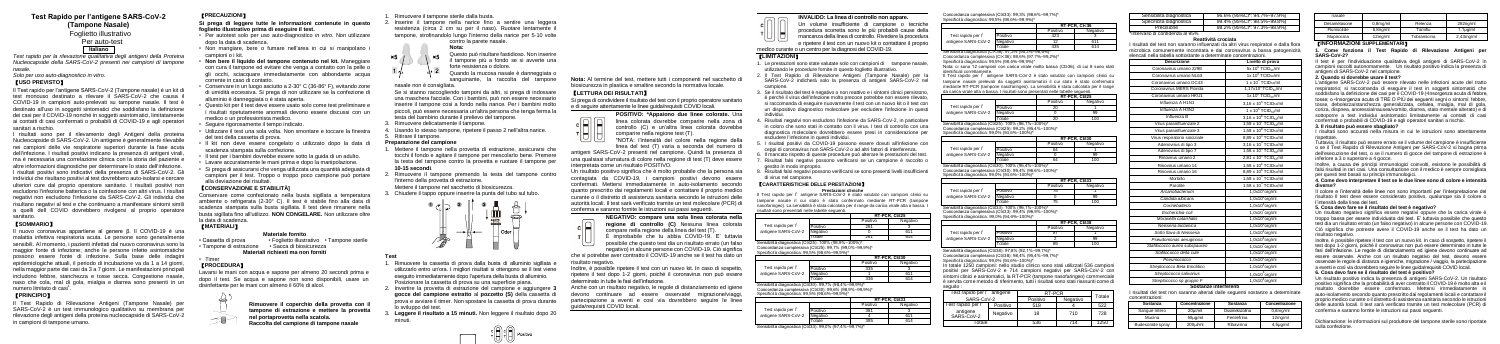# **Test Rapido per l'antigene SARS-CoV-2 (Tampone Nasale)**

Foglietto illustrativo

### Per auto-test **Italiano**

*Test rapido per la rilevazione qualitativa degli antigeni della Proteina Nucleocapside della SARS-CoV-2 presenti nei campioni di tampone nasale.*

# *Solo per uso auto-diagnostico in vitro.*

# 【**USO PREVISTO**】

Il Test rapido per l'antigene SARS-CoV-2 (Tampone nasale) è un kit di test monouso destinato a rilevare il SARS-CoV-2 che causa il COVID-19 in campioni auto-prelevati su tampone nasale. Il test è destinato all'uso in soggetti sintomatici che soddisfano la definizione dei casi per il COVID-19 nonché in soggetti asintomatici, limitatamente ai contatti di casi confermati o probabili di COVID-19 e agli operatori sanitari a rischio.

Il nuovo coronavirus appartiene al genere β. Il COVID-19 è una malattia infettiva respiratoria acuta. Le persone sono generalmente sensibili. Al momento, i pazienti infettati dal nuovo coronavirus sono la maggior fonte di infezione; anche le persone infette asintomatiche possono essere fonte di infezione. Sulla base delle indagini epidemiologiche attuali, il periodo di incubazione va da 1 a 14 giorni nella maggior parte dei casi da 3 a 7 giorni. Le manifestazioni principali includono febbre, stanchezza e tosse secca. Congestione nasale, naso che cola, mal di gola, mialgia e diarrea sono presenti in un numero limitato di casi<sup>1</sup>.

I risultati sono per il rilevamento degli Antigeni della proteina Nucleocapside di SARS-CoV-2. Un antigene è generalmente rilevabile nei campioni delle vie respiratorie superiori durante la fase acuta dell'infezione. I risultati positivi indicano la presenza di antigeni virali, ma è necessaria una correlazione clinica con la storia del paziente e altre informazioni diagnostiche per determinare lo stato dell'infezione. I risultati positivi sono indicativi della presenza di SARS-CoV-2. Gli individui che risultano positivi al test dovrebbero auto-isolarsi e cercare ulteriori cure dal proprio operatore sanitario. I risultati positivi non escludono l'infezione batterica o la coinfezione con altri virus. I risultati negativi non escludono l'infezione da SARS-CoV-2. Gli individui che risultano negativi al test e che continuano a manifestare sintomi simili a quelli dell COVID dovrebbero rivolgersi al proprio operatore sanitario.

# 【**SOMMARIO**】

# 【**PRINCIPIO**】

Il Test Rapido di Rilevazione Antigeni (Tampone Nasale) per SARS-CoV-2 è un test immunologico qualitativo su membrana per rilevazione degli antigeni della proteina nucleocapside di SARS-CoV-2 in campioni di tampone umano.

- . Rimuovere il tampone sterile dalla busta.
- 2. Inserire il tampone nella narice fino a sentire una leggera resistenza (circa 2 cm su per il naso). Ruotare lentamente il tampone, strofinandolo lungo l'interno della narice per 5-10 volte

# 【**PRECAUZIONI**】

**Si prega di leggere tutte le informazioni contenute in questo foglietto illustrativo prima di eseguire il test.**

- 1. Rimuovere la cassetta di prova dalla busta di alluminio sigillata e utilizzarlo entro un'ora. I migliori risultati si ottengono se il test viene eseguito immediatamente dopo l'apertura della busta di alluminio. Posizionare la cassetta di prova su una superficie piana.
- 2. Invertire la provetta di estrazione del campione e aggiungere **3 gocce del campione estratto** al **pozzetto (S)** della cassetta di prova e avviare il timer. Non spostare la cassetta di prova durante lo sviluppo del test.
- Leggere il risultato a 15 minuti. Non leggere il risultato dopo 20

al⊟lal⊟l

- 리디 카나!

Positivo

- Per autotest solo per uso auto-diagnostico *in vitro*. Non utilizzare dopo la data di scadenza.
- Non mangiare, bere o fumare nell'area in cui si manipolano i campioni o i kit.
- **Non bere il liquido del tampone contenuto nel kit.** Maneggiare con cura il tampone ed evitare che venga a contatto con la pelle o gli occhi, sciacquare immediatamente con abbondante acqua corrente in caso di contatto.
- Conservare in un luogo asciutto a 2-30° C (36-86° F), evitando zone di umidità eccessiva. Si prega di non utilizzare se la confezione di alluminio è danneggiata o è stata aperta.
- Questo kit per il test deve essere usato solo come test preliminare e i risultati ripetutamente anormali devono essere discussi con un medico o un professionista medico.
- Seguire rigorosamente il tempo indicato.
- Utilizzare il test una sola volta. Non smontare e toccare la finestra del test della cassetta di prova.
- Il kit non deve essere congelato o utilizzato dopo la data di scadenza stampata sulla confezione.
- Il test per i bambini dovrebbe essere sotto la guida di un adulto.
- Lavare accuratamente le mani prima e dopo la manipolazione.
- Si prega di assicurarsi che venga utilizzata una quantità adeguata di campioni per il test. Troppo o troppo poco campione può portare alla deviazione dei risultati.

# 【**CONSERVAZIONE E STABILITÀ]**

Conservare come confezionato nella busta sigillata a temperatura ambiente o refrigerata (2-30° C). Il test è stabile fino alla data di scadenza stampata sulla busta sigillata. Il test deve rimanere nella busta sigillata fino all'utilizzo. **NON CONGELARE.** Non utilizzare oltre la data di scadenza.

> negativo) in alcune persone con COVID-19. Ciò significa che si potrebbe aver contratto il COVID-19 anche se il test ha dato un

# 【**MATERIALI**】

## **Materiale fornito**

• Cassetta di prova • Foglietto illustrativo • Tampone sterile • Tampone di estrazione • Sacca di biosicurezza **Materiali richiesti ma non forniti**

• Timer

# 【**PROCEDURA**】

Lavarsi le mani con acqua e sapone per almeno 20 secondi prima e dopo il test. Se acqua e sapone non sono disponibili, usare un disinfettante per le mani con almeno il 60% di alcol.

**Rimuovere il coperchio della provetta con il tampone di estrazione e mettere la provetta nel portaprovetta nella scatola.** 

**Raccolta del campione di tampone nasale**



### **Nota:**

- Questo può risultare fastidioso. Non inserire  $\times 5$ tampone più a fondo se si avverte una forte resistenza o dolore.
	- Quando la mucosa nasale è danneggiata o sanguinante, la raccolta del tampone
- nasale non è consigliata
- Se si stanno raccogliendo tamponi da altri, si prega di indossare una maschera facciale. Con i bambini, può non essere necessario inserire il tampone così a fondo nella narice. Per i bambini molto piccoli, può essere necessaria un'altra persona che tenga ferma la testa del bambino durante il prelievo del tampone.
- 3. Rimuovere delicatamente il tampone.
- 4. Usando lo stesso tampone, ripetere il passo 2 nell'altra narice. 5. Ritirare il tampone.

# **Preparazione del campione**

- 1. Mettere il tampone nella provetta di estrazione, assicurarsi che tocchi il fondo e agitare il tampone per mescolarlo bene. Premere la testa del tampone contro la provetta e ruotare il tampone per **10-15 secondi**.
- 2. Rimuovere il tampone premendo la testa del tampone contro l'interno della provetta di estrazione.
- Mettere il tampone nel sacchetto di biosicurezza. 3. Chiudere il tappo oppure inserire la punta del tubo sul tubo.
- 



**Test**

minuti.



seguito :<br>Test rapido per l'antigene  $SAPS-C<sub>0</sub>$ Test rapido per l' antigene SARS-CoV-2

# 【**LETTURA DEI RISULTATI**】

Si prega di condividere il risultato del test con il proprio operatore sanitario e di seguire attentamente le linee guida/requisiti COVID locali.



**POSITIVO: \*Appaiono due linee colorate.** Una linea colorata dovrebbe comparire nella zona di controllo (C) e un'altra linea colorata dovrebbe

comparire nella regione test (T). \*NOTA: l'intensità del colore nella regione della

linea del test (T) varia a seconda del numero di



antigeni SARS-CoV-2 presenti nel campione. Quindi la presenza di una qualsiasi sfumatura di colore nella regione di test (T) deve essere interpretata come un risultato POSITIVO.

Un risultato positivo significa che è molto probabile che la persona sia contagiata da COVID-19, i campioni positivi devono essere confermati. Mettersi immediatamente in auto-isolamento secondo quanto prescritto dai regolamenti locali e contattare il proprio medico curante o il distretto di assistenza sanitaria secondo le istruzioni delle autorità locali. Il test sarà verificato tramite un test molecolare (PCR) di conferma e saranno fornite le istruzioni sui passi seguenti.





**NEGATIVO: compare una sola linea colorata nella regione di controllo (C)** Nessuna linea colorata compare nella regione della linea del test (T).

È improbabile che tu abbia COVID-19. E' tuttavia possibile che questo test dia un risultato errato (un falso

risultato negativo. Inoltre, è possibile ripetere il test con un nuovo kit. In caso di sospetto, ripetere il test dopo 1-2 giorni, poiché il coronavirus non può essere determinato in tutte le fasi dell'infezione.

I risultati sono accurati nella misura in cui le istruzioni sono attentamente ricnattate

Tuttavia, il risultato può essere errato se il volume del campione è insufficiente o se il Test Rapido di Rilevazione Antigeni per SARS-CoV-2 si bagna prima dell'esecuzione del test, o se il numero di gocce del tampone di estrazione è inferiore a 3 o superiore a 4 gocce.

Anche con un risultato negativo, le regole di distanziamento ed igiene devono continuare ad essere osservate! migrazione/viaggi, partecipazione a eventi e così via dovrebbero seguire le linee guida/requisiti COVID locali.

# **INVALIDO: La linea di controllo non appare.** Un volume insufficiente di campione o tecniche

procedura scorretta sono le più probabili cause della mancanza della linea di controllo. Rivedere la procedura e ripetere il test con un nuovo kit o contattare il proprio

medico curante o un centro per la diagnosi del COVID-19.

# 【**LIMITAZIONI**】

- 1. Le prestazioni sono state valutate solo con campioni di tampone nasale, utilizzando le procedure fornite in questo foglietto illustrativo.
- 2. Il Test Rapido di Rilevazione Antigeni (Tampone Nasale) per SARS-CoV-2 indicherà solo la presenza di antigeni SARS-CoV-2 nel campione.
- 3. Se il risultato del test è negativo o non reattivo e i sintomi clinici persistono, è perché il virus dell'infezione molto precoce potrebbe non essere rilevato, si raccomanda di eseguire nuovamente il test con un nuovo kit o il test con un dispositivo diagnostico molecolare per escludere l'infezione in questi individui.
- 4. Risultati negativi non escludono l'infezione da SARS-CoV-2, in particolare in coloro che sono stati in contatto con il virus. I test di controllo con una diagnostica molecolare dovrebbero essere presi in considerazione per escludere l'infezione in questi individui.
- 5. I risultati positivi da COVID-19 possono essere dovuti all'infezione con ceppi di coronavirus non SARS-CoV-2 o ad altri fattori di interferenza.
- 6. Il mancato rispetto di queste procedure può alterare le prestazioni del test. 7. Risultati falsi negativi possono verificarsi se un campione è raccolto o gestito in modo improprio.
- 8. Risultati falsi negativi possono verificarsi se sono presenti livelli insufficienti di virus nel campione.

# 【**CARATTERISTICHE DELLE PRESTAZIONI**】

**Prestazioni cliniche** Il Test rapido per l'antigene SARS-CoV-2 è stato valutato con campioni clinici su tampone nasale il cui stato è stato confermato mediante RT-PCR (tampone nasofaringeo). La sensibilità è stata calcolata per il range da carica virale alta a bassa. I risultati sono presentati nelle tabelle seguenti.

|                                                       |          |          | RT-PCR. Ct≤25 |
|-------------------------------------------------------|----------|----------|---------------|
|                                                       |          | Positivo | Negativo      |
| Test rapido per l'<br>antigene SARS-CoV-2             | Positivo | 261      |               |
|                                                       | Negativo |          | 611           |
|                                                       | Totale   | 261      | 614           |
| Sensibilità diagnostica (Cts25): 100% (98.9%-100%)*   |          |          |               |
| Concordanza complessiva (Ct≤25): 99.7% (99.0%-99.9%)* |          |          |               |
| Specificità diagnostica: 99.5% (98.6%-99.9%)*         |          |          |               |

|                     |          |          | RT-PCR. Ct≤30 |
|---------------------|----------|----------|---------------|
|                     |          | Positivo | Negativo      |
| Test rapido per l'  | Positivo | 335      |               |
| antigene SARS-CoV-2 | Negativo |          | 611           |
|                     | Totale   | 336      | 614           |

Sensibilità diagnostica (Ct≤30): 99,7% (98,4%–99,9%)\* Concordanza complessiva (Ct≤30): 99,6% (98,9%–99,9%)\* Specificità diagnostica: 99,5% (98,6%–99,9%)\*

|                     |          |          | RT-PCR, Ct≤33 |
|---------------------|----------|----------|---------------|
|                     |          | Positivo | Negativo      |
| Test rapido per l'  | Positivo | 381      |               |
| antigene SARS-CoV-2 | Negativo |          | 611           |
|                     | Totale   | 385      | 614           |

Sensibilità diagnostica (Ct≤33): 99,0% (97,4%–99,7%)\*

Concordanza complessiva (Ct≤33): 99,3% (98,6%–99,7%)\* Specificità diagnostica: 99,5% (98,6%–99,9%)\*

|                                                       |          |          | RT-PCR. Ct<36 |
|-------------------------------------------------------|----------|----------|---------------|
|                                                       |          | Positivo | Negativo      |
| Test rapido per l'                                    | Positivo | 423      |               |
| antigene SARS-CoV-2                                   | Negativo | 12       | 611           |
|                                                       | Totale   | 435      | 614           |
| Sensibilità diagnostica (Ct<36): 97.2% (95.2%-98.6%)* |          |          |               |

Concordanza complessiva (Ct<36): 98,6% (97,7%–99,2%)\*

Specificità diagnostica: 99,5% (98,6%–99,9%)\*

Nota: ci sono 12 campioni con carica virale molto bassa (Ct≥36), di cui 8 sono stati

identificati correttamente.

and the

Il Test rapido per l'antigene SARS-CoV-2 è stato valutato con campioni clinici su tampone nasale prelevati da soggetti asintomatici il cui stato è stato confermato mediante RT-PCR (tampone nasofaringeo). La sensibilità è stata calcolata per il range da carica virale alta a bassa. I risultati sono presentati nelle tabelle seguenti.

Test rapido per l' antigene SARS-CoV-2

|                     |          | RT-PCR. Ct≤25 |
|---------------------|----------|---------------|
|                     | Positivo | Negativo      |
| Positivo            | 20       |               |
| Negativo            |          | 99            |
| Totale              | 20       | 100           |
| 99,0% (94,6%-100%)* |          | RT-PCR. Ct≤30 |
|                     | Positivo | Negativo      |
| Positivo            | 64       |               |
| Negativo            |          | 99            |
| Totale              | 64       | 100           |

Test rapido per l' antigene SARS-CoV-2

Sensibilità diagnostica (Ct≤30): 100% (95,4%–100%)\*

Concordanza complessiva (Ct≤30): 99,4% (96,6%–100%)\*

Specificità diagnostica: 99,0% (94,6%–100%)\*

|                                                     |          |          | RT-PCR, Ct≤33 |
|-----------------------------------------------------|----------|----------|---------------|
|                                                     |          | Positivo | Negativo      |
| Test rapido per l'                                  | Positivo | 75       |               |
| antigene SARS-CoV-2                                 | Negativo |          | 99            |
|                                                     | Totale   | 75       | 100           |
| Sensibilità diagnostica (Ct≤33): 100% (96,1%-100%)* |          |          |               |

Cordanza complessiva (Ct≤33): 99,4% (96,9%–100%)\*

Specificità diagnostica: 99,0% (94,6%–100%)\*

Test rapido per l' antigene SARS-CoV-2

sibilità diagnostica ( cordanza compless specificità diagnostica:

|          | RT-PCR. Ct≤38        |    |  |  |
|----------|----------------------|----|--|--|
|          | Positivo<br>Negativo |    |  |  |
| Positivo |                      |    |  |  |
| Negativo |                      |    |  |  |
| `otale   | ٩g                   | 00 |  |  |

Sensibilità diagnostica (Ct≤38): 97,8% (92,1%–99,7%)\*

Concordanza complessiva (Ct≤38): 98,4% (95,4%–99,7%)\*

Specificità diagnostica: 99,0% (94,6%–100%)\*

In totale 1250 campioni: nello studio clinico sono stati utilizzati 536 campioni positivi per SARS-CoV-2 e 714 campioni negativi per SARS-CoV-2 con sintomi clinici e asintomatici, la RT-PCR (tampone nasofaringeo) commerciale è servita come metodo di riferimento, tutti i risultati sono stati riassunti come di

| p per l' | antigene | RT-PCR               |     | Totale |
|----------|----------|----------------------|-----|--------|
| RS-CoV-2 |          | Negativo<br>Positivo |     |        |
| er l     | Positivo | 518                  |     | 522    |
| $V-2$    | Negativo | 18                   | 710 | 728    |
| Totale   |          | 536                  | 714 | 1250   |

| Sensibilità diagnostica          | 96.6% (95%Cl*: 94.7%~97.9%) |
|----------------------------------|-----------------------------|
| Specificità diagnostica          | 99.4% (95%Cl*: 98.5%~99.8%) |
| Precisione                       | 98.2% (95%Cl*: 97.3%~98.9%) |
| *Intervallo di confidenza al 95% |                             |

#### **Reattività crociata**

I risultati del test non saranno influenzati da altri virus respiratori e dalla flora microbica comunemente incontrata e dai coronavirus a bassa patogenicità elencati nella tabella sottostante a determinate concentrazioni.

| Descrizione                   | Livello di prova                              |
|-------------------------------|-----------------------------------------------|
| Coronavirus umano 229E        | 5x 10 <sup>5</sup> TCID <sub>50</sub> /ml     |
| Coronavirus umano NL63        | 1x 10 <sup>6</sup> TCID <sub>50</sub> /ml     |
| Coronavirus umano OC43        | 1 x 10 <sup>6</sup> TCID <sub>50</sub> /ml    |
| Coronavirus MERS Florida      | 1,17x10 <sup>4</sup> TCID <sub>so</sub> /ml   |
| Coronavirus umano HKU1        | 1x 10 $^6$ TCID <sub>50</sub> /ml             |
| Influenza A H1N1              | 3,16 x 10 <sup>5</sup> TCID <sub>50</sub> /ml |
| Influenza A H3N2              | 1 x 10 <sup>5</sup> TCIDs/ml                  |
| Influenza B                   | $3,16 \times 10^6$ TCID <sub>50</sub> /ml     |
| Virus parainfluenzale 2       | 1,58 x 10 <sup>7</sup> TCID <sub>50</sub> /ml |
| Virus parainfluenzale 3       | 1.58 x 10 <sup>8</sup> TCIDso/ml              |
| Virus respiratorio sinciziale | 8,89 x 10 <sup>4</sup> TCID <sub>50</sub> /ml |
| Adenovirus di tipo 3          | 3,16 x 10 <sup>4</sup> TCID <sub>50</sub> /ml |
| Adenovirus di tipo 7          | 1.58 x 10 <sup>5</sup> TCIDso/ml              |
| Rinovirus umano 2             | 2,81 x 10 <sup>4</sup> TCID <sub>50</sub> /ml |
| Rinovirus umano 14            | $1,58 \times 10^6$ TCID <sub>50</sub> /ml     |
| Rinovirus umano 16            | 8,89 x $10^6$ TCID <sub>50</sub> /ml          |
| Morbillo                      | 1,58 x 10 <sup>4</sup> TCID <sub>50</sub> /ml |
| Parotite                      | 1,58 x 10 <sup>4</sup> TCID <sub>50</sub> /ml |
| Arcanobacterium               | $1,0x10^8$ org/ml                             |
| Candida albicans              | $1,0x108$ or g/ml                             |
| Corinebatterio                | $1,0x10^8$ org/ml                             |
| Escherichia coli              | $1,0x108$ or g/ml                             |
| Moraxella catarrhalis         | $1.0x108$ org/ml                              |
| Neisseria lactamica           | $1,0x108$ or g/ml                             |
| Sotto flava di Neisseria      | $1,0x108$ or g/ml                             |
| Pseudomonas aeruginosa        | $1,0x108$ org/ml                              |
| Stafilococco aureo subspaureo | $1,0x108$ org/ml                              |
| Stafilococco della cute       | $1.0x108$ org/ml                              |
| Pneumococco                   | $1,0x108$ org/ml                              |
| Streptococco Beta Emolitico   | $1,0x10^8$ org/ml                             |
| Streptococco salivarius       | $1,0x10^8$ org/ml                             |
| Streptococco sp gruppo F      | 1,0x10 <sup>8</sup> org/ml                    |

I risultati del test non saranno alterati dalle seguenti sostanze a determinate concentrazioni:

| Sostanza         | Concentrazione | Sostanza       | Concentrazione |
|------------------|----------------|----------------|----------------|
| Sangue Intero    | 20ul/ml        | Ossimetazolina | $0.6$ ma/ml    |
| Mucina           | 50ug/ml        | Fenilefrina    | 12mg/ml        |
| Budesonide spray | 200ul/ml       | Ribavirina     | $4.5\mu$ g/ml  |
|                  |                |                |                |

| nasale           |                  |             |               |
|------------------|------------------|-------------|---------------|
| Desametasone     | 0.8 <sub>m</sub> | Relenza     | 282ng/ml      |
| Flunisolide      | 6.8ng/ml         | Tamiflu     | $1.1\mu q/ml$ |
| Mupirocina       | 12mg/ml          | Tobramicina | $2.43$ ma/ml  |
| ------<br>------ |                  |             |               |

# 【**INFORMAZIONI SUPPLEMENTARI**】

#### **1. Come funziona il Test Rapido di Rilevazione Antigeni per SARS-CoV-2?**

Il test è per l'individuazione qualitativa degli antigeni di SARS-CoV-2 in campioni raccolti autonomamente. Un risultato positivo indica la presenza di antigeni di SARS-CoV-2 nel campione.

#### **2. Quando si dovrebbe usare il test?**

L'antigene SARS-CoV-2 può essere rilevato nelle infezioni acute del tratto respiratorio; si raccomanda di eseguire il test in soggetti sintomatici che soddisfano la definizione dei casi per il COVID-19 (·Insorgenza acuta di febbre tosse; o •Insorgenza acuta di TRE O PIÙ dei seguenti segni o sintomi: febbre, tosse, debolezza/stanchezza generalizzata, cefalea, mialgia, mal di gola, coriza, dispnea, anoressia/nausea/vomito, diarrea, stato mentale alterato) e di sottoporre a test individui asintomatici limitatamente ai contatti di casi confermati o probabili di COVID-19 e agli operatori sanitari a rischio.

### **3. Il risultato può essere sbagliato?**

Inoltre, a causa dei principi immunologici coinvolti, esistono le possibilità di falsi risultati in rari casi. Una consultazione con il medico è sempre consigliata per questi test basati su principi immunologici.

#### **4. Come devo interpretare il test se le due linee sono di colore e intensità diverse?**

Il colore e l'intensità delle linee non sono importanti per l'interpretazione del risultato Il test deve essere considerato positivo, qualunque sia il colore o l'intensità della linea del test.

### **5. Cosa devo fare se il risultato del test è negativo?**

Un risultato negativo significa essere negativi oppure che la carica virale è troppo bassa per essere individuata dal test. E' tuttavia possibile che questo test dia un risultato errato (un falso negativo) in alcune persone con COVID-19. Ciò significa che potreste avere il COVID-19 anche se il test ha dato un risultato negativo.

Inoltre, è possibile ripetere il test con un nuovo kit. In caso di sospetto, ripetere il test dopo 1-2 giorni, poiché il coronavirus non può essere determinato in tutte le fasi dell'infezione. Le regole di distanziamento ed igiene devono continuare ad essere osservate. Anche con un risultato negativo del test, devono essere osservate le regole di distanza e igieniche, migrazione / viaggio, la partecipazione a eventi e così via dovrebbero seguire le linee guida/requisiti COVID locali.

#### **6. Cosa devo fare se il risultato del test è positivo?**

Un risultato positivo indica la presenza di antigeni SARS-CoV-2. Un risultato positivo significa che la probabilità di aver contratto il COVID-19 è molto alta e il risultato dovrebbe essere confermato. Mettersi immediatamente in auto-isolamento secondo quanto prescritto dai regolamenti locali e contattare il proprio medico curante o il distretto di assistenza sanitaria secondo le istruzioni delle autorità locali. Il test sarà verificato tramite un test molecolare (PCR) di conferma e saranno fornite le istruzioni sui passi seguenti.

Dichiarazione: le informazioni sul produttore del tampone sterile sono riportate sulla confezione.